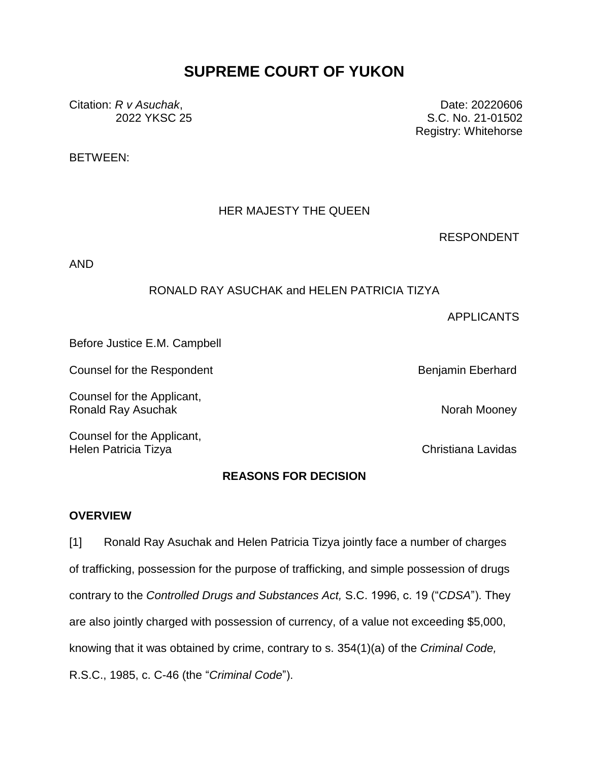# **SUPREME COURT OF YUKON**

Citation: *R v Asuchak*, 2022 YKSC 25

Date: 20220606 S.C. No. 21-01502 Registry: Whitehorse

BETWEEN:

# HER MAJESTY THE QUEEN

RESPONDENT

AND

## RONALD RAY ASUCHAK and HELEN PATRICIA TIZYA

APPLICANTS

Before Justice E.M. Campbell

Counsel for the Respondent **Benjamin** Eberhard Benjamin Eberhard

Counsel for the Applicant, Ronald Ray Asuchak Norah Mooney Norah Mooney

Counsel for the Applicant, Helen Patricia Tizya Christiana Lavidas

## **REASONS FOR DECISION**

#### **OVERVIEW**

[1] Ronald Ray Asuchak and Helen Patricia Tizya jointly face a number of charges of trafficking, possession for the purpose of trafficking, and simple possession of drugs contrary to the *Controlled Drugs and Substances Act,* S.C. 1996, c. 19 ("*CDSA*"). They are also jointly charged with possession of currency, of a value not exceeding \$5,000, knowing that it was obtained by crime, contrary to s. 354(1)(a) of the *Criminal Code,*  R.S.C., 1985, c. C-46 (the "*Criminal Code*").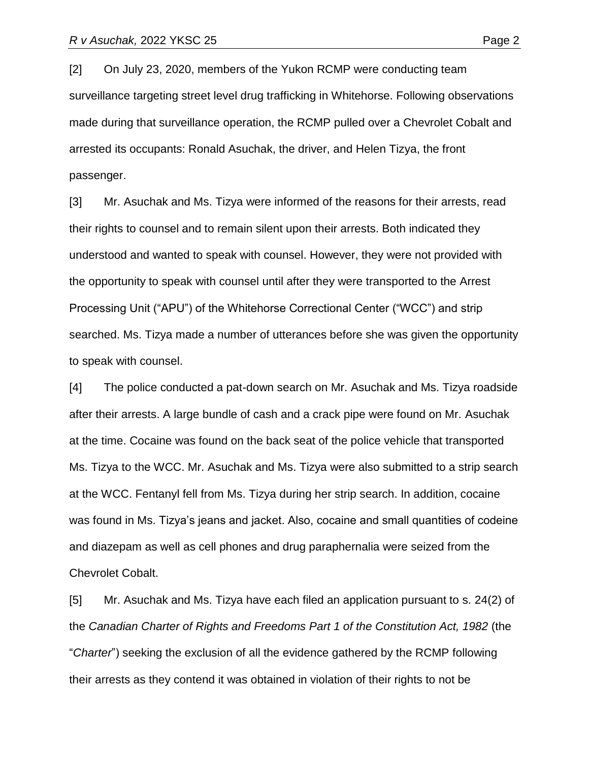[2] On July 23, 2020, members of the Yukon RCMP were conducting team surveillance targeting street level drug trafficking in Whitehorse. Following observations made during that surveillance operation, the RCMP pulled over a Chevrolet Cobalt and arrested its occupants: Ronald Asuchak, the driver, and Helen Tizya, the front passenger.

[3] Mr. Asuchak and Ms. Tizya were informed of the reasons for their arrests, read their rights to counsel and to remain silent upon their arrests. Both indicated they understood and wanted to speak with counsel. However, they were not provided with the opportunity to speak with counsel until after they were transported to the Arrest Processing Unit ("APU") of the Whitehorse Correctional Center ("WCC") and strip searched. Ms. Tizya made a number of utterances before she was given the opportunity to speak with counsel.

[4] The police conducted a pat-down search on Mr. Asuchak and Ms. Tizya roadside after their arrests. A large bundle of cash and a crack pipe were found on Mr. Asuchak at the time. Cocaine was found on the back seat of the police vehicle that transported Ms. Tizya to the WCC. Mr. Asuchak and Ms. Tizya were also submitted to a strip search at the WCC. Fentanyl fell from Ms. Tizya during her strip search. In addition, cocaine was found in Ms. Tizya's jeans and jacket. Also, cocaine and small quantities of codeine and diazepam as well as cell phones and drug paraphernalia were seized from the Chevrolet Cobalt.

[5] Mr. Asuchak and Ms. Tizya have each filed an application pursuant to s. 24(2) of the *Canadian Charter of Rights and Freedoms Part 1 of the Constitution Act, 1982* (the "*Charter*") seeking the exclusion of all the evidence gathered by the RCMP following their arrests as they contend it was obtained in violation of their rights to not be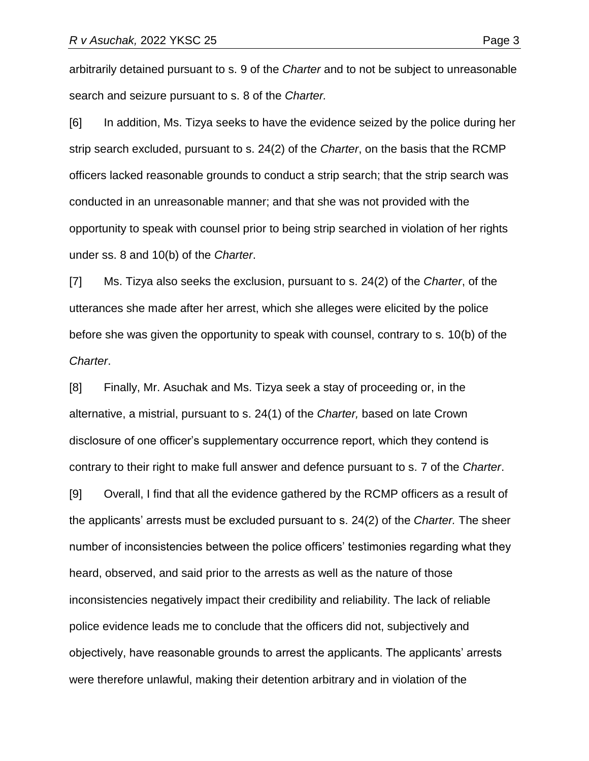arbitrarily detained pursuant to s. 9 of the *Charter* and to not be subject to unreasonable search and seizure pursuant to s. 8 of the *Charter.* 

[6] In addition, Ms. Tizya seeks to have the evidence seized by the police during her strip search excluded, pursuant to s. 24(2) of the *Charter*, on the basis that the RCMP officers lacked reasonable grounds to conduct a strip search; that the strip search was conducted in an unreasonable manner; and that she was not provided with the opportunity to speak with counsel prior to being strip searched in violation of her rights under ss. 8 and 10(b) of the *Charter*.

[7] Ms. Tizya also seeks the exclusion, pursuant to s. 24(2) of the *Charter*, of the utterances she made after her arrest, which she alleges were elicited by the police before she was given the opportunity to speak with counsel, contrary to s. 10(b) of the *Charter*.

[8] Finally, Mr. Asuchak and Ms. Tizya seek a stay of proceeding or, in the alternative, a mistrial, pursuant to s. 24(1) of the *Charter,* based on late Crown disclosure of one officer's supplementary occurrence report, which they contend is contrary to their right to make full answer and defence pursuant to s. 7 of the *Charter*. [9] Overall, I find that all the evidence gathered by the RCMP officers as a result of the applicants' arrests must be excluded pursuant to s. 24(2) of the *Charter.* The sheer number of inconsistencies between the police officers' testimonies regarding what they heard, observed, and said prior to the arrests as well as the nature of those inconsistencies negatively impact their credibility and reliability. The lack of reliable police evidence leads me to conclude that the officers did not, subjectively and objectively, have reasonable grounds to arrest the applicants. The applicants' arrests were therefore unlawful, making their detention arbitrary and in violation of the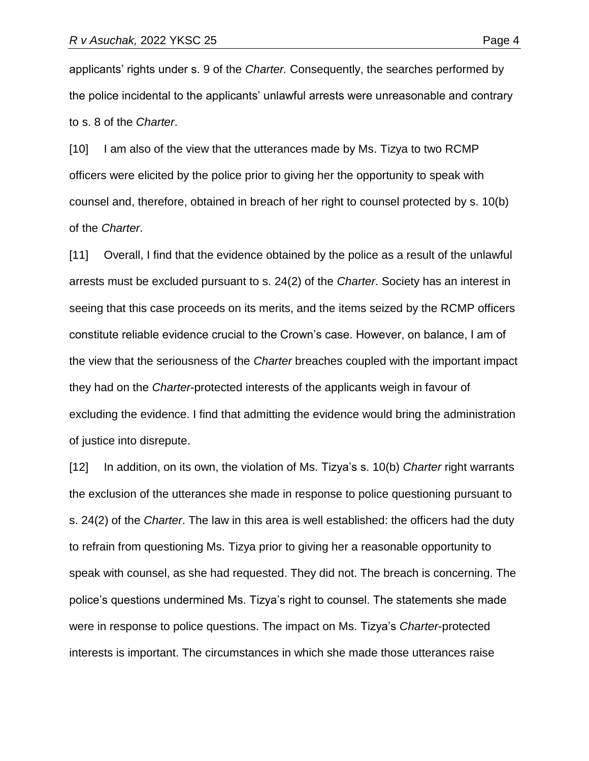applicants' rights under s. 9 of the *Charter.* Consequently, the searches performed by the police incidental to the applicants' unlawful arrests were unreasonable and contrary to s. 8 of the *Charter*.

[10] I am also of the view that the utterances made by Ms. Tizya to two RCMP officers were elicited by the police prior to giving her the opportunity to speak with counsel and, therefore, obtained in breach of her right to counsel protected by s. 10(b) of the *Charter*.

[11] Overall, I find that the evidence obtained by the police as a result of the unlawful arrests must be excluded pursuant to s. 24(2) of the *Charter*. Society has an interest in seeing that this case proceeds on its merits, and the items seized by the RCMP officers constitute reliable evidence crucial to the Crown's case. However, on balance, I am of the view that the seriousness of the *Charter* breaches coupled with the important impact they had on the *Charter*-protected interests of the applicants weigh in favour of excluding the evidence. I find that admitting the evidence would bring the administration of justice into disrepute.

[12] In addition, on its own, the violation of Ms. Tizya's s. 10(b) *Charter* right warrants the exclusion of the utterances she made in response to police questioning pursuant to s. 24(2) of the *Charter*. The law in this area is well established: the officers had the duty to refrain from questioning Ms. Tizya prior to giving her a reasonable opportunity to speak with counsel, as she had requested. They did not. The breach is concerning. The police's questions undermined Ms. Tizya's right to counsel. The statements she made were in response to police questions. The impact on Ms. Tizya's *Charter*-protected interests is important. The circumstances in which she made those utterances raise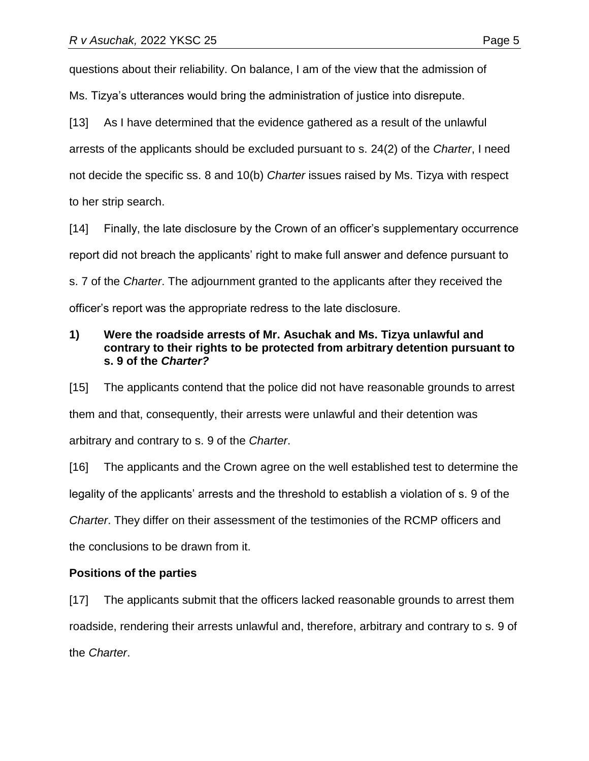questions about their reliability. On balance, I am of the view that the admission of

Ms. Tizya's utterances would bring the administration of justice into disrepute.

[13] As I have determined that the evidence gathered as a result of the unlawful arrests of the applicants should be excluded pursuant to s. 24(2) of the *Charter*, I need not decide the specific ss. 8 and 10(b) *Charter* issues raised by Ms. Tizya with respect to her strip search.

[14] Finally, the late disclosure by the Crown of an officer's supplementary occurrence report did not breach the applicants' right to make full answer and defence pursuant to s. 7 of the *Charter*. The adjournment granted to the applicants after they received the officer's report was the appropriate redress to the late disclosure.

# **1) Were the roadside arrests of Mr. Asuchak and Ms. Tizya unlawful and contrary to their rights to be protected from arbitrary detention pursuant to s. 9 of the** *Charter?*

[15] The applicants contend that the police did not have reasonable grounds to arrest them and that, consequently, their arrests were unlawful and their detention was arbitrary and contrary to s. 9 of the *Charter*.

[16] The applicants and the Crown agree on the well established test to determine the legality of the applicants' arrests and the threshold to establish a violation of s. 9 of the *Charter*. They differ on their assessment of the testimonies of the RCMP officers and the conclusions to be drawn from it.

# **Positions of the parties**

[17] The applicants submit that the officers lacked reasonable grounds to arrest them roadside, rendering their arrests unlawful and, therefore, arbitrary and contrary to s. 9 of the *Charter*.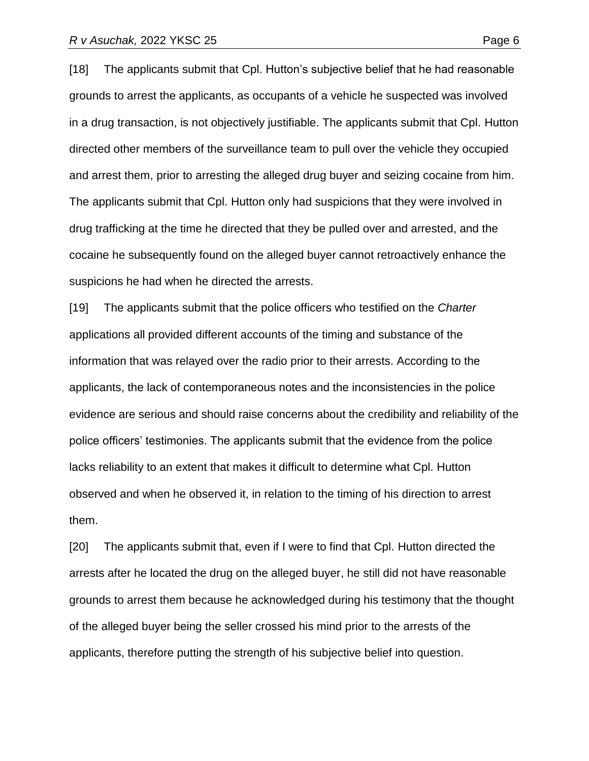[18] The applicants submit that Cpl. Hutton's subjective belief that he had reasonable grounds to arrest the applicants, as occupants of a vehicle he suspected was involved in a drug transaction, is not objectively justifiable. The applicants submit that Cpl. Hutton directed other members of the surveillance team to pull over the vehicle they occupied and arrest them, prior to arresting the alleged drug buyer and seizing cocaine from him. The applicants submit that Cpl. Hutton only had suspicions that they were involved in drug trafficking at the time he directed that they be pulled over and arrested, and the cocaine he subsequently found on the alleged buyer cannot retroactively enhance the suspicions he had when he directed the arrests.

[19] The applicants submit that the police officers who testified on the *Charter* applications all provided different accounts of the timing and substance of the information that was relayed over the radio prior to their arrests. According to the applicants, the lack of contemporaneous notes and the inconsistencies in the police evidence are serious and should raise concerns about the credibility and reliability of the police officers' testimonies. The applicants submit that the evidence from the police lacks reliability to an extent that makes it difficult to determine what Cpl. Hutton observed and when he observed it, in relation to the timing of his direction to arrest them.

[20] The applicants submit that, even if I were to find that Cpl. Hutton directed the arrests after he located the drug on the alleged buyer, he still did not have reasonable grounds to arrest them because he acknowledged during his testimony that the thought of the alleged buyer being the seller crossed his mind prior to the arrests of the applicants, therefore putting the strength of his subjective belief into question.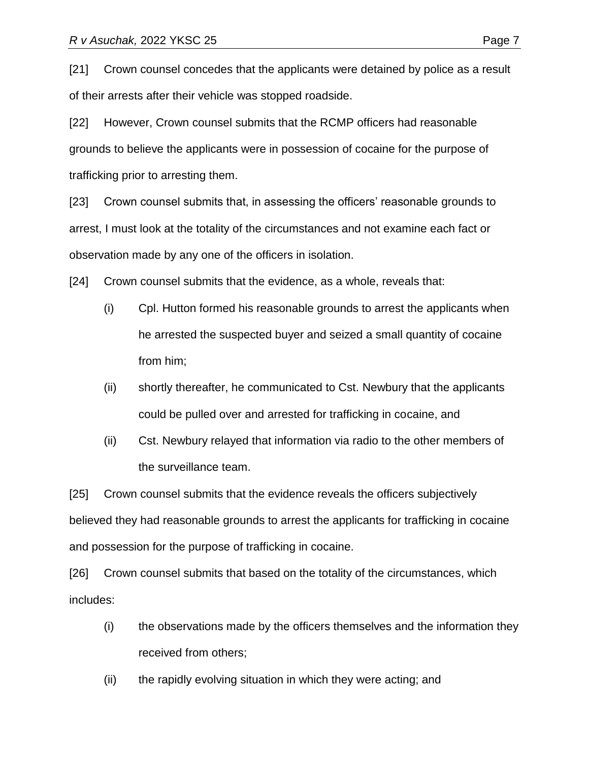[22] However, Crown counsel submits that the RCMP officers had reasonable grounds to believe the applicants were in possession of cocaine for the purpose of trafficking prior to arresting them.

[23] Crown counsel submits that, in assessing the officers' reasonable grounds to arrest, I must look at the totality of the circumstances and not examine each fact or observation made by any one of the officers in isolation.

[24] Crown counsel submits that the evidence, as a whole, reveals that:

- (i) Cpl. Hutton formed his reasonable grounds to arrest the applicants when he arrested the suspected buyer and seized a small quantity of cocaine from him;
- (ii) shortly thereafter, he communicated to Cst. Newbury that the applicants could be pulled over and arrested for trafficking in cocaine, and
- (ii) Cst. Newbury relayed that information via radio to the other members of the surveillance team.

[25] Crown counsel submits that the evidence reveals the officers subjectively believed they had reasonable grounds to arrest the applicants for trafficking in cocaine and possession for the purpose of trafficking in cocaine.

[26] Crown counsel submits that based on the totality of the circumstances, which includes:

- (i) the observations made by the officers themselves and the information they received from others;
- (ii) the rapidly evolving situation in which they were acting; and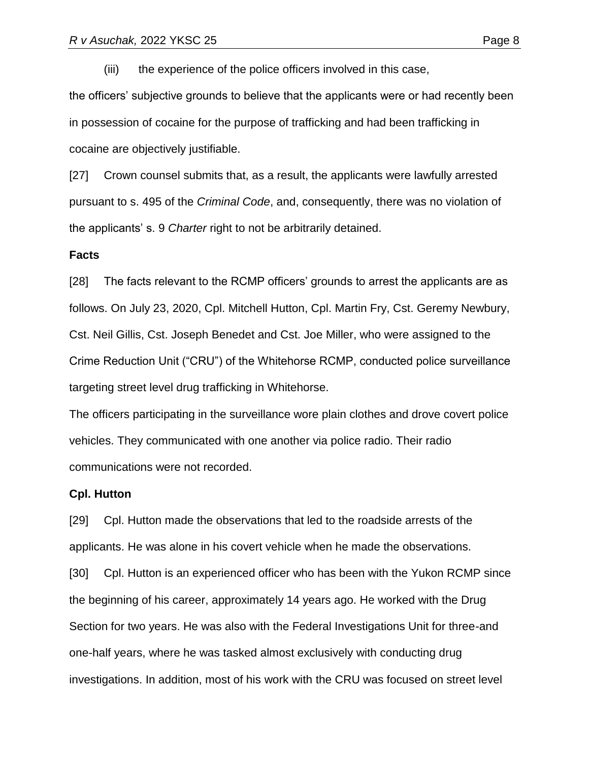(iii) the experience of the police officers involved in this case,

the officers' subjective grounds to believe that the applicants were or had recently been in possession of cocaine for the purpose of trafficking and had been trafficking in cocaine are objectively justifiable.

[27] Crown counsel submits that, as a result, the applicants were lawfully arrested pursuant to s. 495 of the *Criminal Code*, and, consequently, there was no violation of the applicants' s. 9 *Charter* right to not be arbitrarily detained.

#### **Facts**

[28] The facts relevant to the RCMP officers' grounds to arrest the applicants are as follows. On July 23, 2020, Cpl. Mitchell Hutton, Cpl. Martin Fry, Cst. Geremy Newbury, Cst. Neil Gillis, Cst. Joseph Benedet and Cst. Joe Miller, who were assigned to the Crime Reduction Unit ("CRU") of the Whitehorse RCMP, conducted police surveillance targeting street level drug trafficking in Whitehorse.

The officers participating in the surveillance wore plain clothes and drove covert police vehicles. They communicated with one another via police radio. Their radio communications were not recorded.

#### **Cpl. Hutton**

[29] Cpl. Hutton made the observations that led to the roadside arrests of the applicants. He was alone in his covert vehicle when he made the observations.

[30] Cpl. Hutton is an experienced officer who has been with the Yukon RCMP since the beginning of his career, approximately 14 years ago. He worked with the Drug Section for two years. He was also with the Federal Investigations Unit for three-and one-half years, where he was tasked almost exclusively with conducting drug investigations. In addition, most of his work with the CRU was focused on street level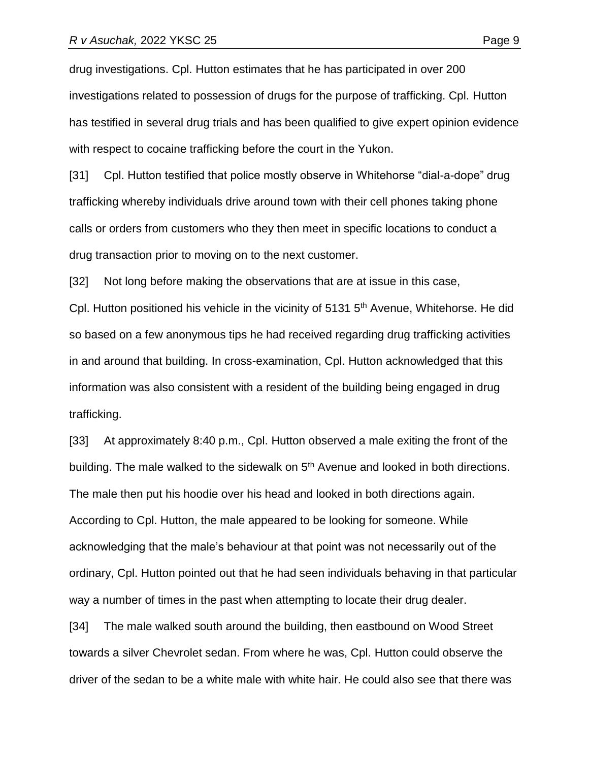drug investigations. Cpl. Hutton estimates that he has participated in over 200 investigations related to possession of drugs for the purpose of trafficking. Cpl. Hutton has testified in several drug trials and has been qualified to give expert opinion evidence with respect to cocaine trafficking before the court in the Yukon.

[31] Cpl. Hutton testified that police mostly observe in Whitehorse "dial-a-dope" drug trafficking whereby individuals drive around town with their cell phones taking phone calls or orders from customers who they then meet in specific locations to conduct a drug transaction prior to moving on to the next customer.

[32] Not long before making the observations that are at issue in this case,

Cpl. Hutton positioned his vehicle in the vicinity of 5131 5<sup>th</sup> Avenue, Whitehorse. He did so based on a few anonymous tips he had received regarding drug trafficking activities in and around that building. In cross-examination, Cpl. Hutton acknowledged that this information was also consistent with a resident of the building being engaged in drug trafficking.

[33] At approximately 8:40 p.m., Cpl. Hutton observed a male exiting the front of the building. The male walked to the sidewalk on  $5<sup>th</sup>$  Avenue and looked in both directions. The male then put his hoodie over his head and looked in both directions again. According to Cpl. Hutton, the male appeared to be looking for someone. While acknowledging that the male's behaviour at that point was not necessarily out of the ordinary, Cpl. Hutton pointed out that he had seen individuals behaving in that particular way a number of times in the past when attempting to locate their drug dealer.

[34] The male walked south around the building, then eastbound on Wood Street towards a silver Chevrolet sedan. From where he was, Cpl. Hutton could observe the driver of the sedan to be a white male with white hair. He could also see that there was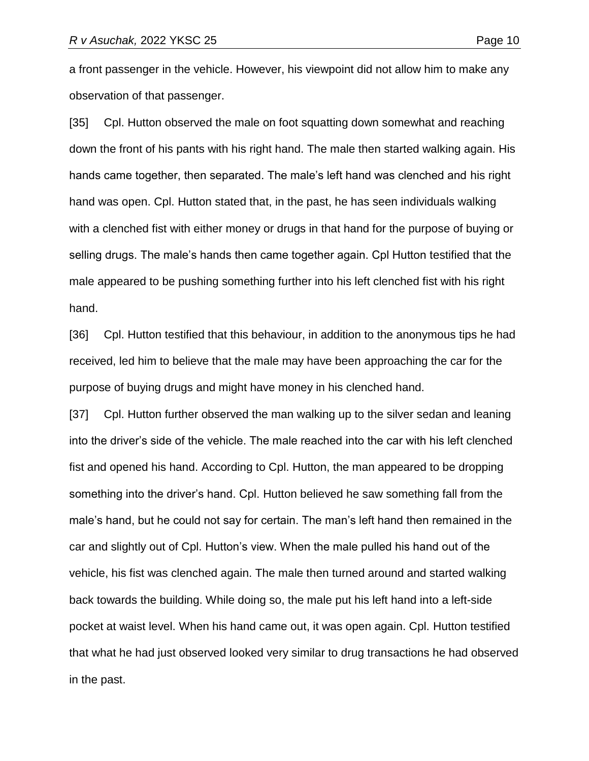a front passenger in the vehicle. However, his viewpoint did not allow him to make any

observation of that passenger.

[35] Cpl. Hutton observed the male on foot squatting down somewhat and reaching down the front of his pants with his right hand. The male then started walking again. His hands came together, then separated. The male's left hand was clenched and his right hand was open. Cpl. Hutton stated that, in the past, he has seen individuals walking with a clenched fist with either money or drugs in that hand for the purpose of buying or selling drugs. The male's hands then came together again. Cpl Hutton testified that the male appeared to be pushing something further into his left clenched fist with his right hand.

[36] Cpl. Hutton testified that this behaviour, in addition to the anonymous tips he had received, led him to believe that the male may have been approaching the car for the purpose of buying drugs and might have money in his clenched hand.

[37] Cpl. Hutton further observed the man walking up to the silver sedan and leaning into the driver's side of the vehicle. The male reached into the car with his left clenched fist and opened his hand. According to Cpl. Hutton, the man appeared to be dropping something into the driver's hand. Cpl. Hutton believed he saw something fall from the male's hand, but he could not say for certain. The man's left hand then remained in the car and slightly out of Cpl. Hutton's view. When the male pulled his hand out of the vehicle, his fist was clenched again. The male then turned around and started walking back towards the building. While doing so, the male put his left hand into a left-side pocket at waist level. When his hand came out, it was open again. Cpl. Hutton testified that what he had just observed looked very similar to drug transactions he had observed in the past.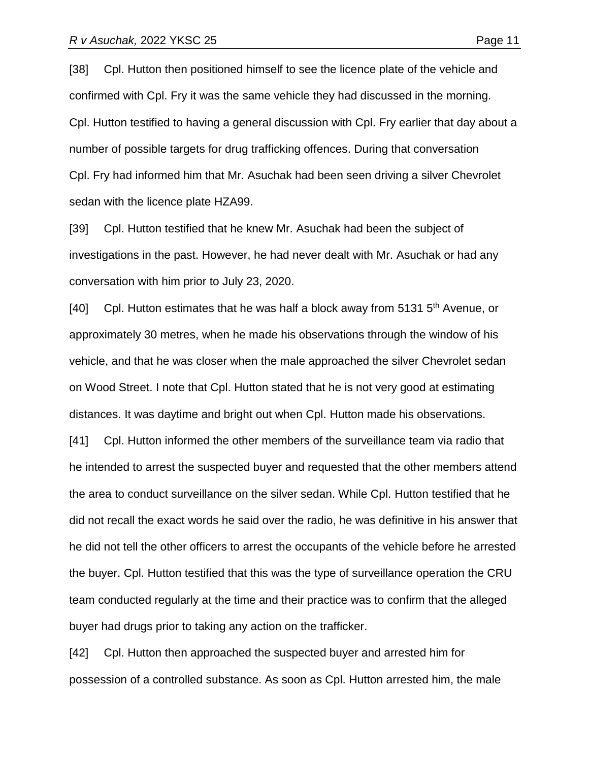[38] Cpl. Hutton then positioned himself to see the licence plate of the vehicle and confirmed with Cpl. Fry it was the same vehicle they had discussed in the morning. Cpl. Hutton testified to having a general discussion with Cpl. Fry earlier that day about a number of possible targets for drug trafficking offences. During that conversation Cpl. Fry had informed him that Mr. Asuchak had been seen driving a silver Chevrolet sedan with the licence plate HZA99.

[39] Cpl. Hutton testified that he knew Mr. Asuchak had been the subject of investigations in the past. However, he had never dealt with Mr. Asuchak or had any conversation with him prior to July 23, 2020.

[40] Cpl. Hutton estimates that he was half a block away from 5131  $5<sup>th</sup>$  Avenue, or approximately 30 metres, when he made his observations through the window of his vehicle, and that he was closer when the male approached the silver Chevrolet sedan on Wood Street. I note that Cpl. Hutton stated that he is not very good at estimating distances. It was daytime and bright out when Cpl. Hutton made his observations.

[41] Cpl. Hutton informed the other members of the surveillance team via radio that he intended to arrest the suspected buyer and requested that the other members attend the area to conduct surveillance on the silver sedan. While Cpl. Hutton testified that he did not recall the exact words he said over the radio, he was definitive in his answer that he did not tell the other officers to arrest the occupants of the vehicle before he arrested the buyer. Cpl. Hutton testified that this was the type of surveillance operation the CRU team conducted regularly at the time and their practice was to confirm that the alleged buyer had drugs prior to taking any action on the trafficker.

[42] Cpl. Hutton then approached the suspected buyer and arrested him for possession of a controlled substance. As soon as Cpl. Hutton arrested him, the male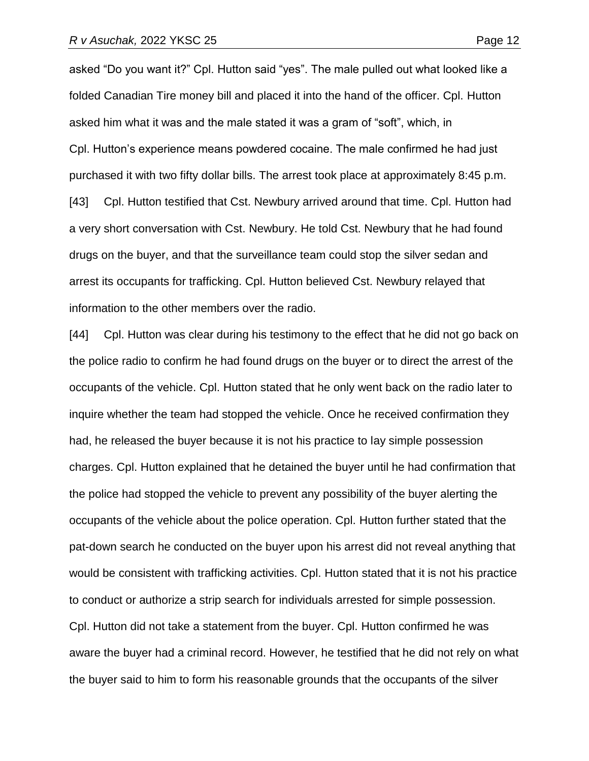asked "Do you want it?" Cpl. Hutton said "yes". The male pulled out what looked like a folded Canadian Tire money bill and placed it into the hand of the officer. Cpl. Hutton asked him what it was and the male stated it was a gram of "soft", which, in Cpl. Hutton's experience means powdered cocaine. The male confirmed he had just purchased it with two fifty dollar bills. The arrest took place at approximately 8:45 p.m. [43] Cpl. Hutton testified that Cst. Newbury arrived around that time. Cpl. Hutton had a very short conversation with Cst. Newbury. He told Cst. Newbury that he had found drugs on the buyer, and that the surveillance team could stop the silver sedan and arrest its occupants for trafficking. Cpl. Hutton believed Cst. Newbury relayed that information to the other members over the radio.

[44] Cpl. Hutton was clear during his testimony to the effect that he did not go back on the police radio to confirm he had found drugs on the buyer or to direct the arrest of the occupants of the vehicle. Cpl. Hutton stated that he only went back on the radio later to inquire whether the team had stopped the vehicle. Once he received confirmation they had, he released the buyer because it is not his practice to lay simple possession charges. Cpl. Hutton explained that he detained the buyer until he had confirmation that the police had stopped the vehicle to prevent any possibility of the buyer alerting the occupants of the vehicle about the police operation. Cpl. Hutton further stated that the pat-down search he conducted on the buyer upon his arrest did not reveal anything that would be consistent with trafficking activities. Cpl. Hutton stated that it is not his practice to conduct or authorize a strip search for individuals arrested for simple possession. Cpl. Hutton did not take a statement from the buyer. Cpl. Hutton confirmed he was aware the buyer had a criminal record. However, he testified that he did not rely on what the buyer said to him to form his reasonable grounds that the occupants of the silver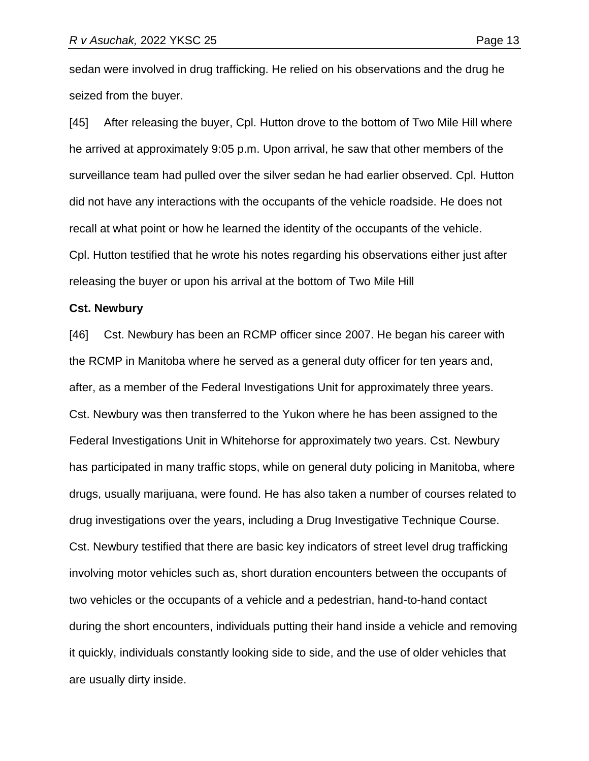sedan were involved in drug trafficking. He relied on his observations and the drug he seized from the buyer.

[45] After releasing the buyer, Cpl. Hutton drove to the bottom of Two Mile Hill where he arrived at approximately 9:05 p.m. Upon arrival, he saw that other members of the surveillance team had pulled over the silver sedan he had earlier observed. Cpl. Hutton did not have any interactions with the occupants of the vehicle roadside. He does not recall at what point or how he learned the identity of the occupants of the vehicle. Cpl. Hutton testified that he wrote his notes regarding his observations either just after releasing the buyer or upon his arrival at the bottom of Two Mile Hill

#### **Cst. Newbury**

[46] Cst. Newbury has been an RCMP officer since 2007. He began his career with the RCMP in Manitoba where he served as a general duty officer for ten years and, after, as a member of the Federal Investigations Unit for approximately three years. Cst. Newbury was then transferred to the Yukon where he has been assigned to the Federal Investigations Unit in Whitehorse for approximately two years. Cst. Newbury has participated in many traffic stops, while on general duty policing in Manitoba, where drugs, usually marijuana, were found. He has also taken a number of courses related to drug investigations over the years, including a Drug Investigative Technique Course. Cst. Newbury testified that there are basic key indicators of street level drug trafficking involving motor vehicles such as, short duration encounters between the occupants of two vehicles or the occupants of a vehicle and a pedestrian, hand-to-hand contact during the short encounters, individuals putting their hand inside a vehicle and removing it quickly, individuals constantly looking side to side, and the use of older vehicles that are usually dirty inside.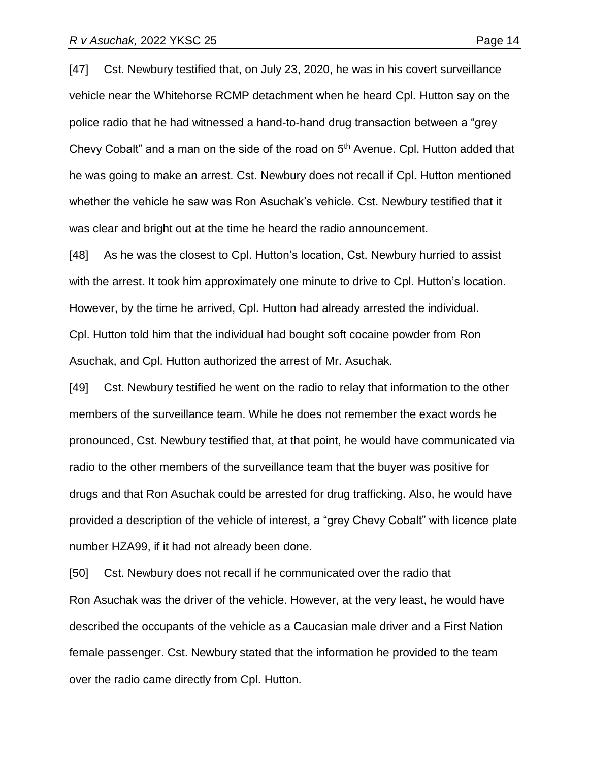[47] Cst. Newbury testified that, on July 23, 2020, he was in his covert surveillance vehicle near the Whitehorse RCMP detachment when he heard Cpl. Hutton say on the

police radio that he had witnessed a hand-to-hand drug transaction between a "grey Chevy Cobalt" and a man on the side of the road on  $5<sup>th</sup>$  Avenue. Cpl. Hutton added that he was going to make an arrest. Cst. Newbury does not recall if Cpl. Hutton mentioned whether the vehicle he saw was Ron Asuchak's vehicle. Cst. Newbury testified that it was clear and bright out at the time he heard the radio announcement.

[48] As he was the closest to Cpl. Hutton's location, Cst. Newbury hurried to assist with the arrest. It took him approximately one minute to drive to Cpl. Hutton's location. However, by the time he arrived, Cpl. Hutton had already arrested the individual. Cpl. Hutton told him that the individual had bought soft cocaine powder from Ron Asuchak, and Cpl. Hutton authorized the arrest of Mr. Asuchak.

[49] Cst. Newbury testified he went on the radio to relay that information to the other members of the surveillance team. While he does not remember the exact words he pronounced, Cst. Newbury testified that, at that point, he would have communicated via radio to the other members of the surveillance team that the buyer was positive for drugs and that Ron Asuchak could be arrested for drug trafficking. Also, he would have provided a description of the vehicle of interest, a "grey Chevy Cobalt" with licence plate number HZA99, if it had not already been done.

[50] Cst. Newbury does not recall if he communicated over the radio that Ron Asuchak was the driver of the vehicle. However, at the very least, he would have described the occupants of the vehicle as a Caucasian male driver and a First Nation female passenger. Cst. Newbury stated that the information he provided to the team over the radio came directly from Cpl. Hutton.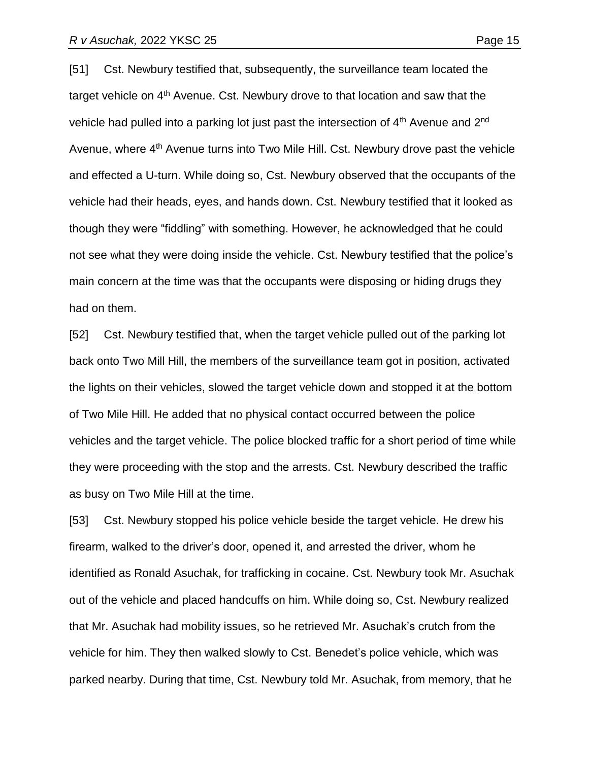[51] Cst. Newbury testified that, subsequently, the surveillance team located the target vehicle on 4<sup>th</sup> Avenue. Cst. Newbury drove to that location and saw that the vehicle had pulled into a parking lot just past the intersection of  $4<sup>th</sup>$  Avenue and  $2<sup>nd</sup>$ Avenue, where 4<sup>th</sup> Avenue turns into Two Mile Hill. Cst. Newbury drove past the vehicle and effected a U-turn. While doing so, Cst. Newbury observed that the occupants of the vehicle had their heads, eyes, and hands down. Cst. Newbury testified that it looked as though they were "fiddling" with something. However, he acknowledged that he could not see what they were doing inside the vehicle. Cst. Newbury testified that the police's main concern at the time was that the occupants were disposing or hiding drugs they had on them.

[52] Cst. Newbury testified that, when the target vehicle pulled out of the parking lot back onto Two Mill Hill, the members of the surveillance team got in position, activated the lights on their vehicles, slowed the target vehicle down and stopped it at the bottom of Two Mile Hill. He added that no physical contact occurred between the police vehicles and the target vehicle. The police blocked traffic for a short period of time while they were proceeding with the stop and the arrests. Cst. Newbury described the traffic as busy on Two Mile Hill at the time.

[53] Cst. Newbury stopped his police vehicle beside the target vehicle. He drew his firearm, walked to the driver's door, opened it, and arrested the driver, whom he identified as Ronald Asuchak, for trafficking in cocaine. Cst. Newbury took Mr. Asuchak out of the vehicle and placed handcuffs on him. While doing so, Cst. Newbury realized that Mr. Asuchak had mobility issues, so he retrieved Mr. Asuchak's crutch from the vehicle for him. They then walked slowly to Cst. Benedet's police vehicle, which was parked nearby. During that time, Cst. Newbury told Mr. Asuchak, from memory, that he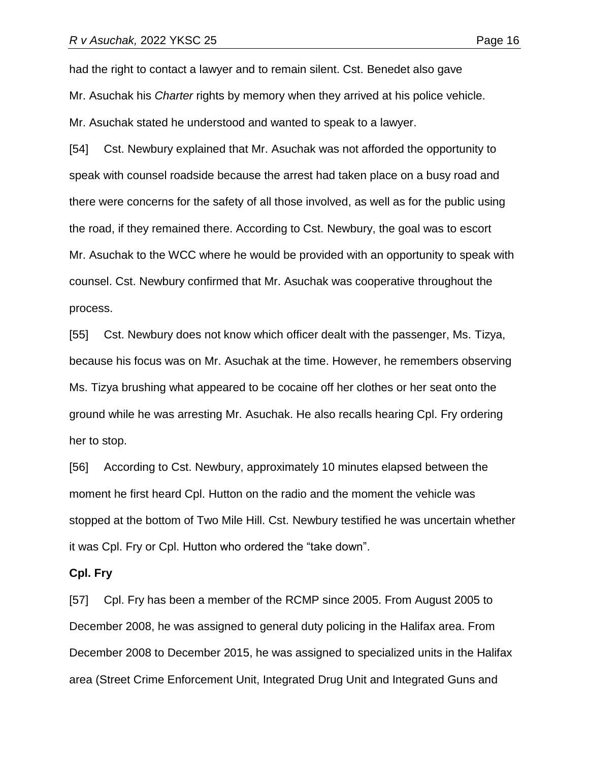had the right to contact a lawyer and to remain silent. Cst. Benedet also gave Mr. Asuchak his *Charter* rights by memory when they arrived at his police vehicle. Mr. Asuchak stated he understood and wanted to speak to a lawyer.

[54] Cst. Newbury explained that Mr. Asuchak was not afforded the opportunity to speak with counsel roadside because the arrest had taken place on a busy road and there were concerns for the safety of all those involved, as well as for the public using the road, if they remained there. According to Cst. Newbury, the goal was to escort Mr. Asuchak to the WCC where he would be provided with an opportunity to speak with counsel. Cst. Newbury confirmed that Mr. Asuchak was cooperative throughout the process.

[55] Cst. Newbury does not know which officer dealt with the passenger, Ms. Tizya, because his focus was on Mr. Asuchak at the time. However, he remembers observing Ms. Tizya brushing what appeared to be cocaine off her clothes or her seat onto the ground while he was arresting Mr. Asuchak. He also recalls hearing Cpl. Fry ordering her to stop.

[56] According to Cst. Newbury, approximately 10 minutes elapsed between the moment he first heard Cpl. Hutton on the radio and the moment the vehicle was stopped at the bottom of Two Mile Hill. Cst. Newbury testified he was uncertain whether it was Cpl. Fry or Cpl. Hutton who ordered the "take down".

#### **Cpl. Fry**

[57] Cpl. Fry has been a member of the RCMP since 2005. From August 2005 to December 2008, he was assigned to general duty policing in the Halifax area. From December 2008 to December 2015, he was assigned to specialized units in the Halifax area (Street Crime Enforcement Unit, Integrated Drug Unit and Integrated Guns and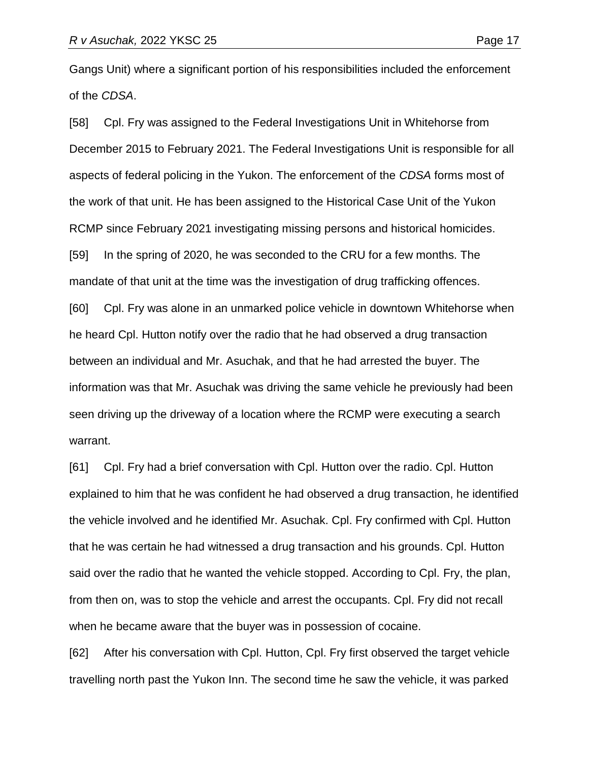Gangs Unit) where a significant portion of his responsibilities included the enforcement of the *CDSA*.

[58] Cpl. Fry was assigned to the Federal Investigations Unit in Whitehorse from December 2015 to February 2021. The Federal Investigations Unit is responsible for all aspects of federal policing in the Yukon. The enforcement of the *CDSA* forms most of the work of that unit. He has been assigned to the Historical Case Unit of the Yukon RCMP since February 2021 investigating missing persons and historical homicides. [59] In the spring of 2020, he was seconded to the CRU for a few months. The mandate of that unit at the time was the investigation of drug trafficking offences. [60] Cpl. Fry was alone in an unmarked police vehicle in downtown Whitehorse when he heard Cpl. Hutton notify over the radio that he had observed a drug transaction between an individual and Mr. Asuchak, and that he had arrested the buyer. The information was that Mr. Asuchak was driving the same vehicle he previously had been seen driving up the driveway of a location where the RCMP were executing a search warrant.

[61] Cpl. Fry had a brief conversation with Cpl. Hutton over the radio. Cpl. Hutton explained to him that he was confident he had observed a drug transaction, he identified the vehicle involved and he identified Mr. Asuchak. Cpl. Fry confirmed with Cpl. Hutton that he was certain he had witnessed a drug transaction and his grounds. Cpl. Hutton said over the radio that he wanted the vehicle stopped. According to Cpl. Fry, the plan, from then on, was to stop the vehicle and arrest the occupants. Cpl. Fry did not recall when he became aware that the buyer was in possession of cocaine.

[62] After his conversation with Cpl. Hutton, Cpl. Fry first observed the target vehicle travelling north past the Yukon Inn. The second time he saw the vehicle, it was parked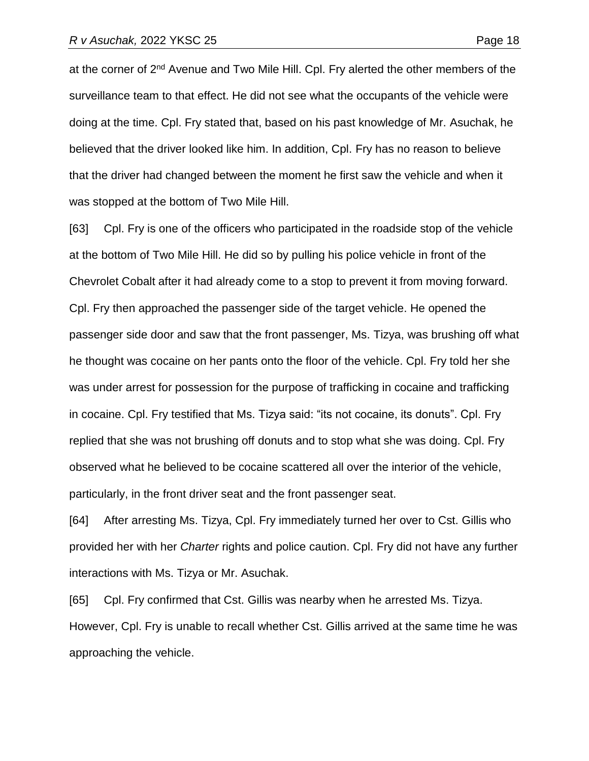at the corner of 2<sup>nd</sup> Avenue and Two Mile Hill. Cpl. Fry alerted the other members of the surveillance team to that effect. He did not see what the occupants of the vehicle were doing at the time. Cpl. Fry stated that, based on his past knowledge of Mr. Asuchak, he believed that the driver looked like him. In addition, Cpl. Fry has no reason to believe that the driver had changed between the moment he first saw the vehicle and when it was stopped at the bottom of Two Mile Hill.

[63] Cpl. Fry is one of the officers who participated in the roadside stop of the vehicle at the bottom of Two Mile Hill. He did so by pulling his police vehicle in front of the Chevrolet Cobalt after it had already come to a stop to prevent it from moving forward. Cpl. Fry then approached the passenger side of the target vehicle. He opened the passenger side door and saw that the front passenger, Ms. Tizya, was brushing off what he thought was cocaine on her pants onto the floor of the vehicle. Cpl. Fry told her she was under arrest for possession for the purpose of trafficking in cocaine and trafficking in cocaine. Cpl. Fry testified that Ms. Tizya said: "its not cocaine, its donuts". Cpl. Fry replied that she was not brushing off donuts and to stop what she was doing. Cpl. Fry observed what he believed to be cocaine scattered all over the interior of the vehicle, particularly, in the front driver seat and the front passenger seat.

[64] After arresting Ms. Tizya, Cpl. Fry immediately turned her over to Cst. Gillis who provided her with her *Charter* rights and police caution. Cpl. Fry did not have any further interactions with Ms. Tizya or Mr. Asuchak.

[65] Cpl. Fry confirmed that Cst. Gillis was nearby when he arrested Ms. Tizya. However, Cpl. Fry is unable to recall whether Cst. Gillis arrived at the same time he was approaching the vehicle.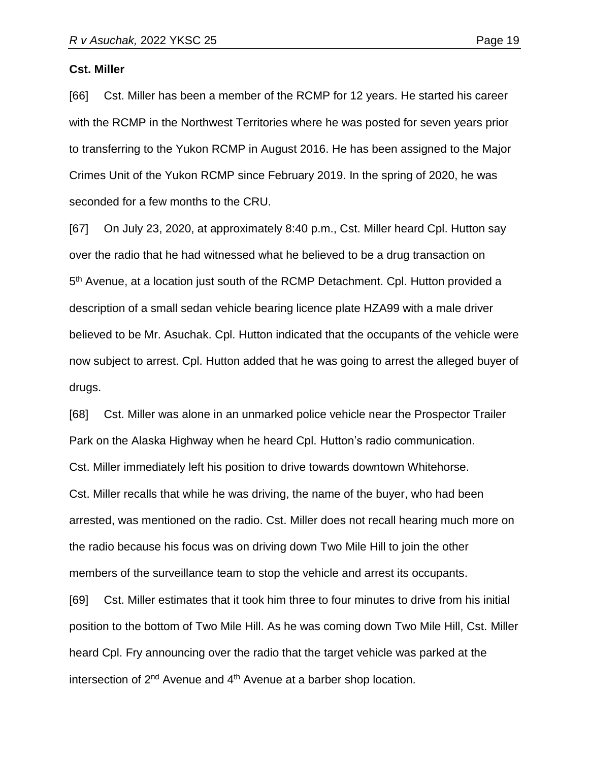#### **Cst. Miller**

[66] Cst. Miller has been a member of the RCMP for 12 years. He started his career with the RCMP in the Northwest Territories where he was posted for seven years prior to transferring to the Yukon RCMP in August 2016. He has been assigned to the Major Crimes Unit of the Yukon RCMP since February 2019. In the spring of 2020, he was seconded for a few months to the CRU.

[67] On July 23, 2020, at approximately 8:40 p.m., Cst. Miller heard Cpl. Hutton say over the radio that he had witnessed what he believed to be a drug transaction on 5<sup>th</sup> Avenue, at a location just south of the RCMP Detachment. Cpl. Hutton provided a description of a small sedan vehicle bearing licence plate HZA99 with a male driver believed to be Mr. Asuchak. Cpl. Hutton indicated that the occupants of the vehicle were now subject to arrest. Cpl. Hutton added that he was going to arrest the alleged buyer of drugs.

[68] Cst. Miller was alone in an unmarked police vehicle near the Prospector Trailer Park on the Alaska Highway when he heard Cpl. Hutton's radio communication. Cst. Miller immediately left his position to drive towards downtown Whitehorse. Cst. Miller recalls that while he was driving, the name of the buyer, who had been arrested, was mentioned on the radio. Cst. Miller does not recall hearing much more on the radio because his focus was on driving down Two Mile Hill to join the other members of the surveillance team to stop the vehicle and arrest its occupants.

[69] Cst. Miller estimates that it took him three to four minutes to drive from his initial position to the bottom of Two Mile Hill. As he was coming down Two Mile Hill, Cst. Miller heard Cpl. Fry announcing over the radio that the target vehicle was parked at the intersection of  $2^{nd}$  Avenue and  $4^{th}$  Avenue at a barber shop location.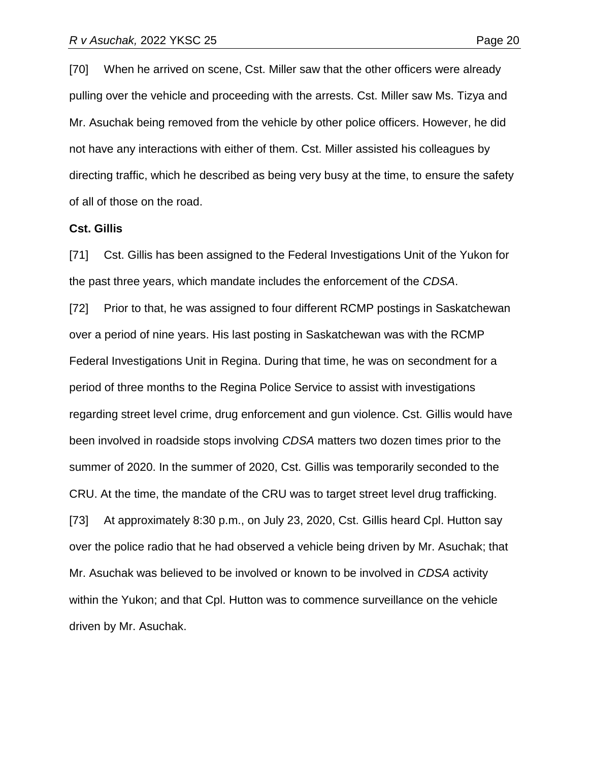[70] When he arrived on scene, Cst. Miller saw that the other officers were already pulling over the vehicle and proceeding with the arrests. Cst. Miller saw Ms. Tizya and Mr. Asuchak being removed from the vehicle by other police officers. However, he did not have any interactions with either of them. Cst. Miller assisted his colleagues by directing traffic, which he described as being very busy at the time, to ensure the safety of all of those on the road.

#### **Cst. Gillis**

[71] Cst. Gillis has been assigned to the Federal Investigations Unit of the Yukon for the past three years, which mandate includes the enforcement of the *CDSA*.

[72] Prior to that, he was assigned to four different RCMP postings in Saskatchewan over a period of nine years. His last posting in Saskatchewan was with the RCMP Federal Investigations Unit in Regina. During that time, he was on secondment for a period of three months to the Regina Police Service to assist with investigations regarding street level crime, drug enforcement and gun violence. Cst. Gillis would have been involved in roadside stops involving *CDSA* matters two dozen times prior to the summer of 2020. In the summer of 2020, Cst. Gillis was temporarily seconded to the CRU. At the time, the mandate of the CRU was to target street level drug trafficking. [73] At approximately 8:30 p.m., on July 23, 2020, Cst. Gillis heard Cpl. Hutton say over the police radio that he had observed a vehicle being driven by Mr. Asuchak; that Mr. Asuchak was believed to be involved or known to be involved in *CDSA* activity within the Yukon; and that Cpl. Hutton was to commence surveillance on the vehicle driven by Mr. Asuchak.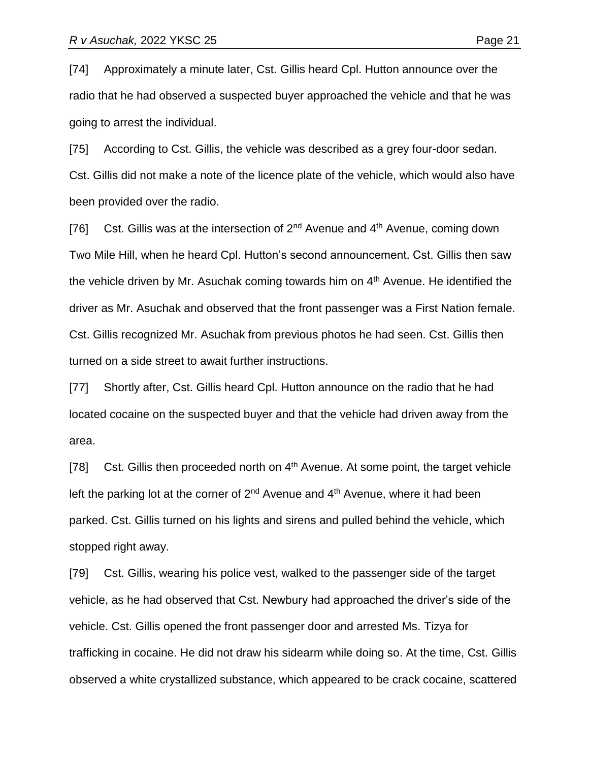[74] Approximately a minute later, Cst. Gillis heard Cpl. Hutton announce over the radio that he had observed a suspected buyer approached the vehicle and that he was going to arrest the individual.

[75] According to Cst. Gillis, the vehicle was described as a grey four-door sedan. Cst. Gillis did not make a note of the licence plate of the vehicle, which would also have been provided over the radio.

[76] Cst. Gillis was at the intersection of  $2^{nd}$  Avenue and  $4^{th}$  Avenue, coming down Two Mile Hill, when he heard Cpl. Hutton's second announcement. Cst. Gillis then saw the vehicle driven by Mr. Asuchak coming towards him on  $4<sup>th</sup>$  Avenue. He identified the driver as Mr. Asuchak and observed that the front passenger was a First Nation female. Cst. Gillis recognized Mr. Asuchak from previous photos he had seen. Cst. Gillis then turned on a side street to await further instructions.

[77] Shortly after, Cst. Gillis heard Cpl. Hutton announce on the radio that he had located cocaine on the suspected buyer and that the vehicle had driven away from the area.

[78] Cst. Gillis then proceeded north on  $4<sup>th</sup>$  Avenue. At some point, the target vehicle left the parking lot at the corner of  $2<sup>nd</sup>$  Avenue and  $4<sup>th</sup>$  Avenue, where it had been parked. Cst. Gillis turned on his lights and sirens and pulled behind the vehicle, which stopped right away.

[79] Cst. Gillis, wearing his police vest, walked to the passenger side of the target vehicle, as he had observed that Cst. Newbury had approached the driver's side of the vehicle. Cst. Gillis opened the front passenger door and arrested Ms. Tizya for trafficking in cocaine. He did not draw his sidearm while doing so. At the time, Cst. Gillis observed a white crystallized substance, which appeared to be crack cocaine, scattered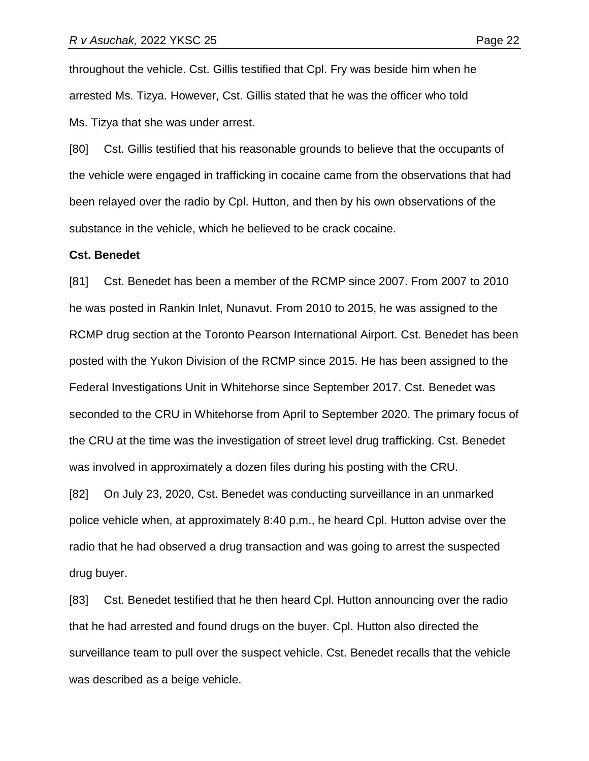throughout the vehicle. Cst. Gillis testified that Cpl. Fry was beside him when he arrested Ms. Tizya. However, Cst. Gillis stated that he was the officer who told Ms. Tizya that she was under arrest.

[80] Cst. Gillis testified that his reasonable grounds to believe that the occupants of the vehicle were engaged in trafficking in cocaine came from the observations that had been relayed over the radio by Cpl. Hutton, and then by his own observations of the substance in the vehicle, which he believed to be crack cocaine.

#### **Cst. Benedet**

[81] Cst. Benedet has been a member of the RCMP since 2007. From 2007 to 2010 he was posted in Rankin Inlet, Nunavut. From 2010 to 2015, he was assigned to the RCMP drug section at the Toronto Pearson International Airport. Cst. Benedet has been posted with the Yukon Division of the RCMP since 2015. He has been assigned to the Federal Investigations Unit in Whitehorse since September 2017. Cst. Benedet was seconded to the CRU in Whitehorse from April to September 2020. The primary focus of the CRU at the time was the investigation of street level drug trafficking. Cst. Benedet was involved in approximately a dozen files during his posting with the CRU.

[82] On July 23, 2020, Cst. Benedet was conducting surveillance in an unmarked police vehicle when, at approximately 8:40 p.m., he heard Cpl. Hutton advise over the radio that he had observed a drug transaction and was going to arrest the suspected drug buyer.

[83] Cst. Benedet testified that he then heard Cpl. Hutton announcing over the radio that he had arrested and found drugs on the buyer. Cpl. Hutton also directed the surveillance team to pull over the suspect vehicle. Cst. Benedet recalls that the vehicle was described as a beige vehicle.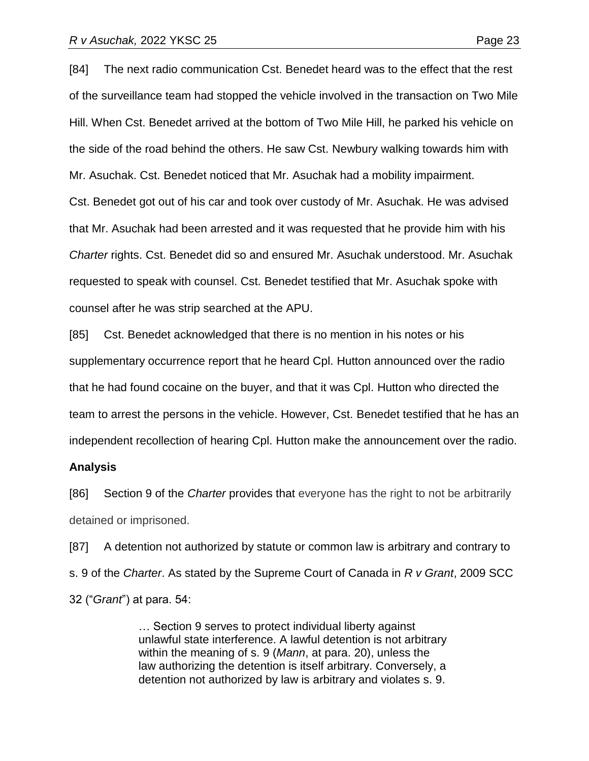[84] The next radio communication Cst. Benedet heard was to the effect that the rest of the surveillance team had stopped the vehicle involved in the transaction on Two Mile Hill. When Cst. Benedet arrived at the bottom of Two Mile Hill, he parked his vehicle on the side of the road behind the others. He saw Cst. Newbury walking towards him with Mr. Asuchak. Cst. Benedet noticed that Mr. Asuchak had a mobility impairment. Cst. Benedet got out of his car and took over custody of Mr. Asuchak. He was advised that Mr. Asuchak had been arrested and it was requested that he provide him with his *Charter* rights. Cst. Benedet did so and ensured Mr. Asuchak understood. Mr. Asuchak requested to speak with counsel. Cst. Benedet testified that Mr. Asuchak spoke with counsel after he was strip searched at the APU.

[85] Cst. Benedet acknowledged that there is no mention in his notes or his supplementary occurrence report that he heard Cpl. Hutton announced over the radio that he had found cocaine on the buyer, and that it was Cpl. Hutton who directed the team to arrest the persons in the vehicle. However, Cst. Benedet testified that he has an independent recollection of hearing Cpl. Hutton make the announcement over the radio.

#### **Analysis**

[86] Section 9 of the *Charter* provides that everyone has the right to not be arbitrarily detained or imprisoned.

[87] A detention not authorized by statute or common law is arbitrary and contrary to s. 9 of the *Charter*. As stated by the Supreme Court of Canada in *R v Grant*, 2009 SCC 32 ("*Grant*") at para. 54:

> … Section 9 serves to protect individual liberty against unlawful state interference. A lawful detention is not arbitrary within the meaning of s. 9 (*Mann*, at para. 20), unless the law authorizing the detention is itself arbitrary. Conversely, a detention not authorized by law is arbitrary and violates s. 9.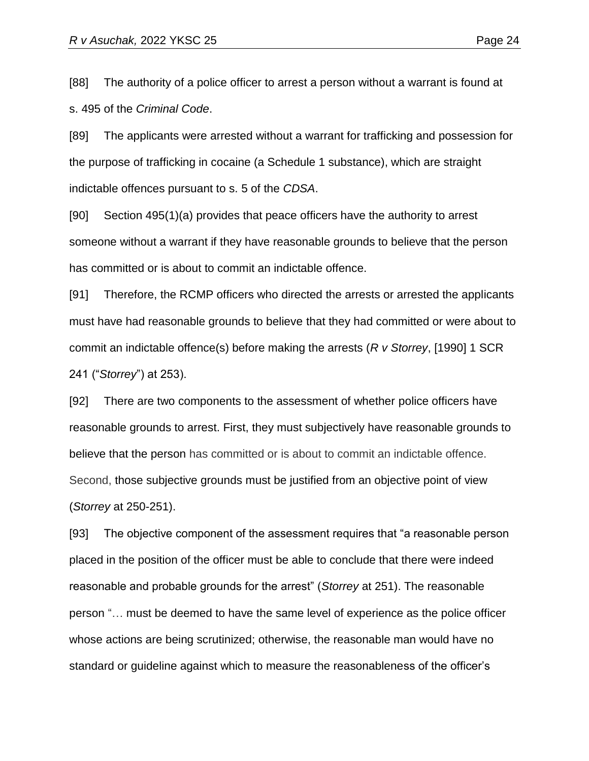[88] The authority of a police officer to arrest a person without a warrant is found at s. 495 of the *Criminal Code*.

[89] The applicants were arrested without a warrant for trafficking and possession for the purpose of trafficking in cocaine (a Schedule 1 substance), which are straight indictable offences pursuant to s. 5 of the *CDSA*.

[90] Section 495(1)(a) provides that peace officers have the authority to arrest someone without a warrant if they have reasonable grounds to believe that the person has committed or is about to commit an indictable offence.

[91] Therefore, the RCMP officers who directed the arrests or arrested the applicants must have had reasonable grounds to believe that they had committed or were about to commit an indictable offence(s) before making the arrests (*R v Storrey*, [1990] 1 SCR 241 ("*Storrey*") at 253).

[92] There are two components to the assessment of whether police officers have reasonable grounds to arrest. First, they must subjectively have reasonable grounds to believe that the person has committed or is about to commit an indictable offence. Second, those subjective grounds must be justified from an objective point of view (*Storrey* at 250-251).

[93] The objective component of the assessment requires that "a reasonable person placed in the position of the officer must be able to conclude that there were indeed reasonable and probable grounds for the arrest" (*Storrey* at 251). The reasonable person "… must be deemed to have the same level of experience as the police officer whose actions are being scrutinized; otherwise, the reasonable man would have no standard or guideline against which to measure the reasonableness of the officer's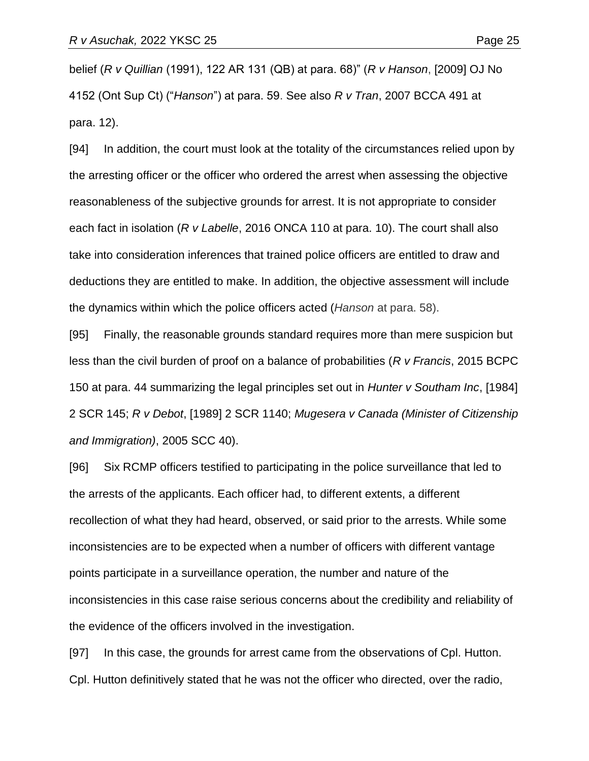belief (*R v Quillian* (1991), 122 AR 131 (QB) at para. 68)" (*R v Hanson*, [2009] OJ No 4152 (Ont Sup Ct) ("*Hanson*") at para. 59. See also *R v Tran*, 2007 BCCA 491 at para. 12).

[94] In addition, the court must look at the totality of the circumstances relied upon by the arresting officer or the officer who ordered the arrest when assessing the objective reasonableness of the subjective grounds for arrest. It is not appropriate to consider each fact in isolation (*R v Labelle*, 2016 ONCA 110 at para. 10). The court shall also take into consideration inferences that trained police officers are entitled to draw and deductions they are entitled to make. In addition, the objective assessment will include the dynamics within which the police officers acted (*Hanson* at para. 58).

[95] Finally, the reasonable grounds standard requires more than mere suspicion but less than the civil burden of proof on a balance of probabilities (*R v Francis*, 2015 BCPC 150 at para. 44 summarizing the legal principles set out in *Hunter v Southam Inc*, [1984] 2 SCR 145; *R v Debot*, [1989] 2 SCR 1140; *Mugesera v Canada (Minister of Citizenship and Immigration)*, 2005 SCC 40).

[96] Six RCMP officers testified to participating in the police surveillance that led to the arrests of the applicants. Each officer had, to different extents, a different recollection of what they had heard, observed, or said prior to the arrests. While some inconsistencies are to be expected when a number of officers with different vantage points participate in a surveillance operation, the number and nature of the inconsistencies in this case raise serious concerns about the credibility and reliability of the evidence of the officers involved in the investigation.

[97] In this case, the grounds for arrest came from the observations of Cpl. Hutton. Cpl. Hutton definitively stated that he was not the officer who directed, over the radio,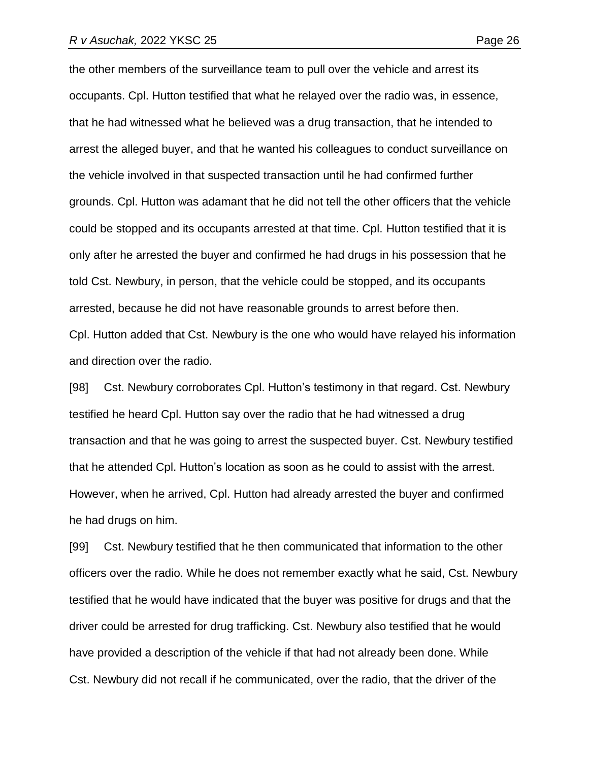the other members of the surveillance team to pull over the vehicle and arrest its occupants. Cpl. Hutton testified that what he relayed over the radio was, in essence, that he had witnessed what he believed was a drug transaction, that he intended to arrest the alleged buyer, and that he wanted his colleagues to conduct surveillance on the vehicle involved in that suspected transaction until he had confirmed further grounds. Cpl. Hutton was adamant that he did not tell the other officers that the vehicle could be stopped and its occupants arrested at that time. Cpl. Hutton testified that it is only after he arrested the buyer and confirmed he had drugs in his possession that he told Cst. Newbury, in person, that the vehicle could be stopped, and its occupants arrested, because he did not have reasonable grounds to arrest before then.

Cpl. Hutton added that Cst. Newbury is the one who would have relayed his information and direction over the radio.

[98] Cst. Newbury corroborates Cpl. Hutton's testimony in that regard. Cst. Newbury testified he heard Cpl. Hutton say over the radio that he had witnessed a drug transaction and that he was going to arrest the suspected buyer. Cst. Newbury testified that he attended Cpl. Hutton's location as soon as he could to assist with the arrest. However, when he arrived, Cpl. Hutton had already arrested the buyer and confirmed he had drugs on him.

[99] Cst. Newbury testified that he then communicated that information to the other officers over the radio. While he does not remember exactly what he said, Cst. Newbury testified that he would have indicated that the buyer was positive for drugs and that the driver could be arrested for drug trafficking. Cst. Newbury also testified that he would have provided a description of the vehicle if that had not already been done. While Cst. Newbury did not recall if he communicated, over the radio, that the driver of the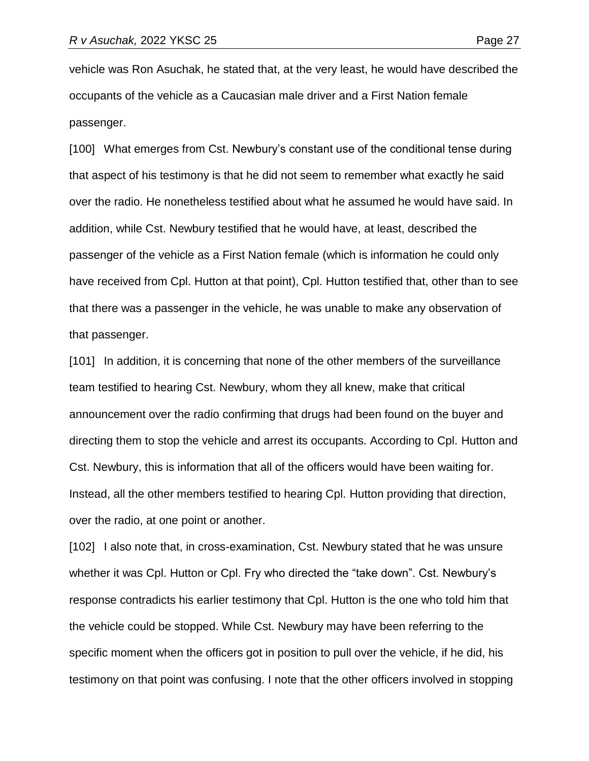vehicle was Ron Asuchak, he stated that, at the very least, he would have described the occupants of the vehicle as a Caucasian male driver and a First Nation female passenger.

[100] What emerges from Cst. Newbury's constant use of the conditional tense during that aspect of his testimony is that he did not seem to remember what exactly he said over the radio. He nonetheless testified about what he assumed he would have said. In addition, while Cst. Newbury testified that he would have, at least, described the passenger of the vehicle as a First Nation female (which is information he could only have received from Cpl. Hutton at that point), Cpl. Hutton testified that, other than to see that there was a passenger in the vehicle, he was unable to make any observation of that passenger.

[101] In addition, it is concerning that none of the other members of the surveillance team testified to hearing Cst. Newbury, whom they all knew, make that critical announcement over the radio confirming that drugs had been found on the buyer and directing them to stop the vehicle and arrest its occupants. According to Cpl. Hutton and Cst. Newbury, this is information that all of the officers would have been waiting for. Instead, all the other members testified to hearing Cpl. Hutton providing that direction, over the radio, at one point or another.

[102] I also note that, in cross-examination, Cst. Newbury stated that he was unsure whether it was Cpl. Hutton or Cpl. Fry who directed the "take down". Cst. Newbury's response contradicts his earlier testimony that Cpl. Hutton is the one who told him that the vehicle could be stopped. While Cst. Newbury may have been referring to the specific moment when the officers got in position to pull over the vehicle, if he did, his testimony on that point was confusing. I note that the other officers involved in stopping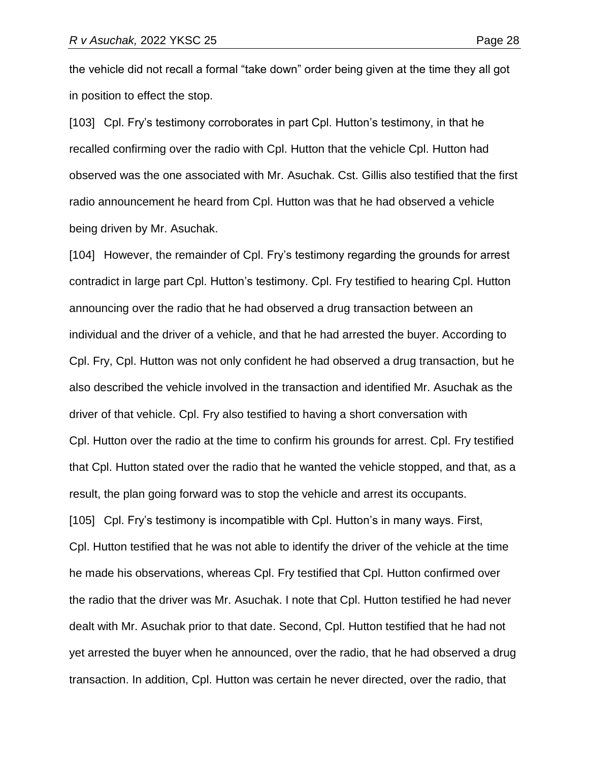the vehicle did not recall a formal "take down" order being given at the time they all got in position to effect the stop.

[103] Cpl. Fry's testimony corroborates in part Cpl. Hutton's testimony, in that he recalled confirming over the radio with Cpl. Hutton that the vehicle Cpl. Hutton had observed was the one associated with Mr. Asuchak. Cst. Gillis also testified that the first radio announcement he heard from Cpl. Hutton was that he had observed a vehicle being driven by Mr. Asuchak.

[104] However, the remainder of Cpl. Fry's testimony regarding the grounds for arrest contradict in large part Cpl. Hutton's testimony. Cpl. Fry testified to hearing Cpl. Hutton announcing over the radio that he had observed a drug transaction between an individual and the driver of a vehicle, and that he had arrested the buyer. According to Cpl. Fry, Cpl. Hutton was not only confident he had observed a drug transaction, but he also described the vehicle involved in the transaction and identified Mr. Asuchak as the driver of that vehicle. Cpl. Fry also testified to having a short conversation with Cpl. Hutton over the radio at the time to confirm his grounds for arrest. Cpl. Fry testified that Cpl. Hutton stated over the radio that he wanted the vehicle stopped, and that, as a result, the plan going forward was to stop the vehicle and arrest its occupants. [105] Cpl. Fry's testimony is incompatible with Cpl. Hutton's in many ways. First, Cpl. Hutton testified that he was not able to identify the driver of the vehicle at the time he made his observations, whereas Cpl. Fry testified that Cpl. Hutton confirmed over the radio that the driver was Mr. Asuchak. I note that Cpl. Hutton testified he had never dealt with Mr. Asuchak prior to that date. Second, Cpl. Hutton testified that he had not yet arrested the buyer when he announced, over the radio, that he had observed a drug transaction. In addition, Cpl. Hutton was certain he never directed, over the radio, that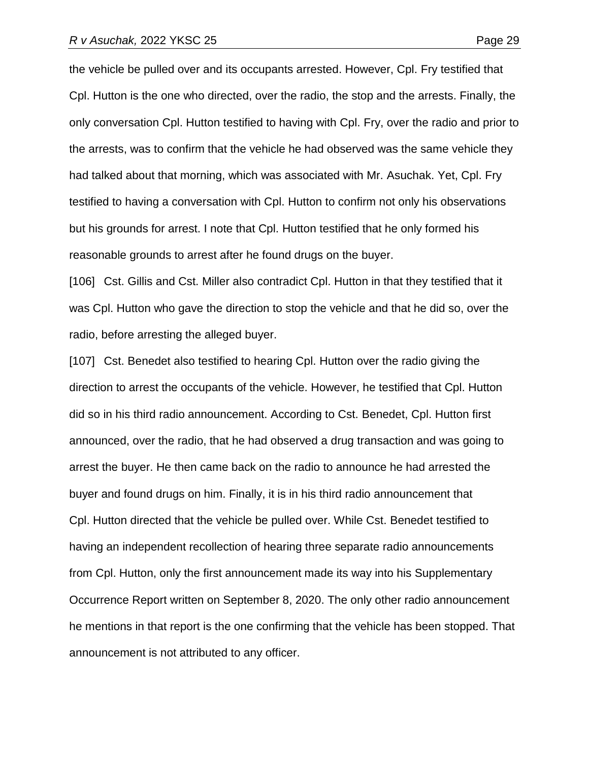the vehicle be pulled over and its occupants arrested. However, Cpl. Fry testified that Cpl. Hutton is the one who directed, over the radio, the stop and the arrests. Finally, the only conversation Cpl. Hutton testified to having with Cpl. Fry, over the radio and prior to the arrests, was to confirm that the vehicle he had observed was the same vehicle they had talked about that morning, which was associated with Mr. Asuchak. Yet, Cpl. Fry testified to having a conversation with Cpl. Hutton to confirm not only his observations but his grounds for arrest. I note that Cpl. Hutton testified that he only formed his reasonable grounds to arrest after he found drugs on the buyer.

[106] Cst. Gillis and Cst. Miller also contradict Cpl. Hutton in that they testified that it was Cpl. Hutton who gave the direction to stop the vehicle and that he did so, over the radio, before arresting the alleged buyer.

[107] Cst. Benedet also testified to hearing Cpl. Hutton over the radio giving the direction to arrest the occupants of the vehicle. However, he testified that Cpl. Hutton did so in his third radio announcement. According to Cst. Benedet, Cpl. Hutton first announced, over the radio, that he had observed a drug transaction and was going to arrest the buyer. He then came back on the radio to announce he had arrested the buyer and found drugs on him. Finally, it is in his third radio announcement that Cpl. Hutton directed that the vehicle be pulled over. While Cst. Benedet testified to having an independent recollection of hearing three separate radio announcements from Cpl. Hutton, only the first announcement made its way into his Supplementary Occurrence Report written on September 8, 2020. The only other radio announcement he mentions in that report is the one confirming that the vehicle has been stopped. That announcement is not attributed to any officer.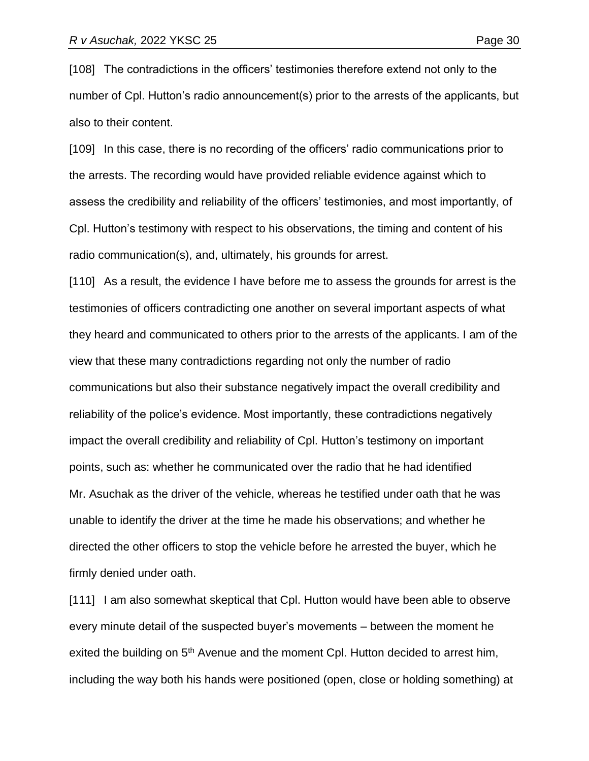[108] The contradictions in the officers' testimonies therefore extend not only to the number of Cpl. Hutton's radio announcement(s) prior to the arrests of the applicants, but also to their content.

[109] In this case, there is no recording of the officers' radio communications prior to the arrests. The recording would have provided reliable evidence against which to assess the credibility and reliability of the officers' testimonies, and most importantly, of Cpl. Hutton's testimony with respect to his observations, the timing and content of his radio communication(s), and, ultimately, his grounds for arrest.

[110] As a result, the evidence I have before me to assess the grounds for arrest is the testimonies of officers contradicting one another on several important aspects of what they heard and communicated to others prior to the arrests of the applicants. I am of the view that these many contradictions regarding not only the number of radio communications but also their substance negatively impact the overall credibility and reliability of the police's evidence. Most importantly, these contradictions negatively impact the overall credibility and reliability of Cpl. Hutton's testimony on important points, such as: whether he communicated over the radio that he had identified Mr. Asuchak as the driver of the vehicle, whereas he testified under oath that he was unable to identify the driver at the time he made his observations; and whether he directed the other officers to stop the vehicle before he arrested the buyer, which he firmly denied under oath.

[111] I am also somewhat skeptical that Cpl. Hutton would have been able to observe every minute detail of the suspected buyer's movements – between the moment he exited the building on 5<sup>th</sup> Avenue and the moment Cpl. Hutton decided to arrest him, including the way both his hands were positioned (open, close or holding something) at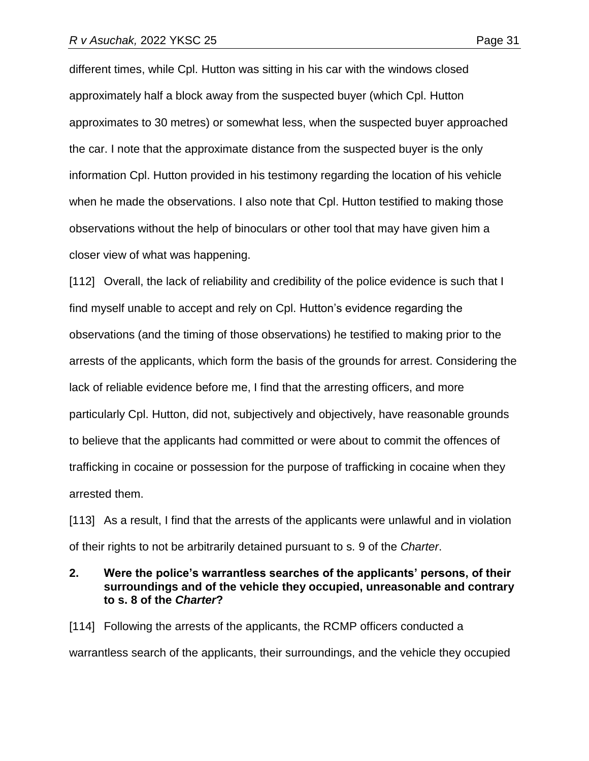different times, while Cpl. Hutton was sitting in his car with the windows closed approximately half a block away from the suspected buyer (which Cpl. Hutton approximates to 30 metres) or somewhat less, when the suspected buyer approached the car. I note that the approximate distance from the suspected buyer is the only information Cpl. Hutton provided in his testimony regarding the location of his vehicle when he made the observations. I also note that Cpl. Hutton testified to making those observations without the help of binoculars or other tool that may have given him a closer view of what was happening.

[112] Overall, the lack of reliability and credibility of the police evidence is such that I find myself unable to accept and rely on Cpl. Hutton's evidence regarding the observations (and the timing of those observations) he testified to making prior to the arrests of the applicants, which form the basis of the grounds for arrest. Considering the lack of reliable evidence before me, I find that the arresting officers, and more particularly Cpl. Hutton, did not, subjectively and objectively, have reasonable grounds to believe that the applicants had committed or were about to commit the offences of trafficking in cocaine or possession for the purpose of trafficking in cocaine when they arrested them.

[113] As a result, I find that the arrests of the applicants were unlawful and in violation of their rights to not be arbitrarily detained pursuant to s. 9 of the *Charter*.

## **2. Were the police's warrantless searches of the applicants' persons, of their surroundings and of the vehicle they occupied, unreasonable and contrary to s. 8 of the** *Charter***?**

[114] Following the arrests of the applicants, the RCMP officers conducted a warrantless search of the applicants, their surroundings, and the vehicle they occupied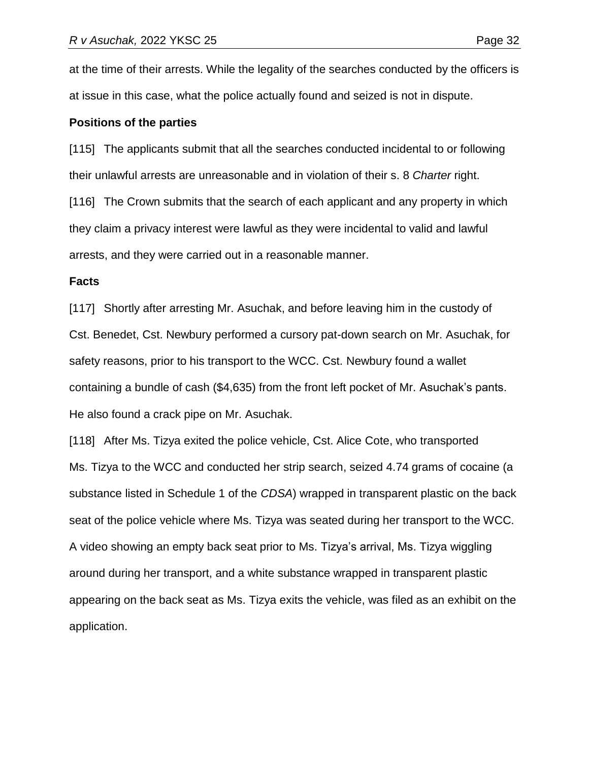at the time of their arrests. While the legality of the searches conducted by the officers is at issue in this case, what the police actually found and seized is not in dispute.

#### **Positions of the parties**

[115] The applicants submit that all the searches conducted incidental to or following their unlawful arrests are unreasonable and in violation of their s. 8 *Charter* right.

[116] The Crown submits that the search of each applicant and any property in which they claim a privacy interest were lawful as they were incidental to valid and lawful arrests, and they were carried out in a reasonable manner.

#### **Facts**

[117] Shortly after arresting Mr. Asuchak, and before leaving him in the custody of Cst. Benedet, Cst. Newbury performed a cursory pat-down search on Mr. Asuchak, for safety reasons, prior to his transport to the WCC. Cst. Newbury found a wallet containing a bundle of cash (\$4,635) from the front left pocket of Mr. Asuchak's pants. He also found a crack pipe on Mr. Asuchak.

[118] After Ms. Tizya exited the police vehicle, Cst. Alice Cote, who transported Ms. Tizya to the WCC and conducted her strip search, seized 4.74 grams of cocaine (a substance listed in Schedule 1 of the *CDSA*) wrapped in transparent plastic on the back seat of the police vehicle where Ms. Tizya was seated during her transport to the WCC. A video showing an empty back seat prior to Ms. Tizya's arrival, Ms. Tizya wiggling around during her transport, and a white substance wrapped in transparent plastic appearing on the back seat as Ms. Tizya exits the vehicle, was filed as an exhibit on the application.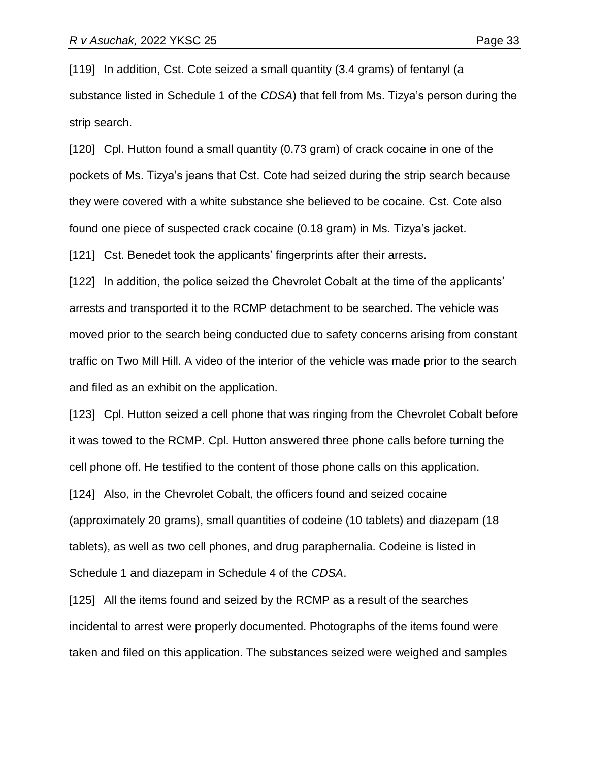[119] In addition, Cst. Cote seized a small quantity (3.4 grams) of fentanyl (a substance listed in Schedule 1 of the *CDSA*) that fell from Ms. Tizya's person during the strip search.

[120] Cpl. Hutton found a small quantity (0.73 gram) of crack cocaine in one of the pockets of Ms. Tizya's jeans that Cst. Cote had seized during the strip search because they were covered with a white substance she believed to be cocaine. Cst. Cote also found one piece of suspected crack cocaine (0.18 gram) in Ms. Tizya's jacket.

[121] Cst. Benedet took the applicants' fingerprints after their arrests.

[122] In addition, the police seized the Chevrolet Cobalt at the time of the applicants' arrests and transported it to the RCMP detachment to be searched. The vehicle was moved prior to the search being conducted due to safety concerns arising from constant traffic on Two Mill Hill. A video of the interior of the vehicle was made prior to the search and filed as an exhibit on the application.

[123] Cpl. Hutton seized a cell phone that was ringing from the Chevrolet Cobalt before it was towed to the RCMP. Cpl. Hutton answered three phone calls before turning the cell phone off. He testified to the content of those phone calls on this application. [124] Also, in the Chevrolet Cobalt, the officers found and seized cocaine (approximately 20 grams), small quantities of codeine (10 tablets) and diazepam (18 tablets), as well as two cell phones, and drug paraphernalia. Codeine is listed in Schedule 1 and diazepam in Schedule 4 of the *CDSA*.

[125] All the items found and seized by the RCMP as a result of the searches incidental to arrest were properly documented. Photographs of the items found were taken and filed on this application. The substances seized were weighed and samples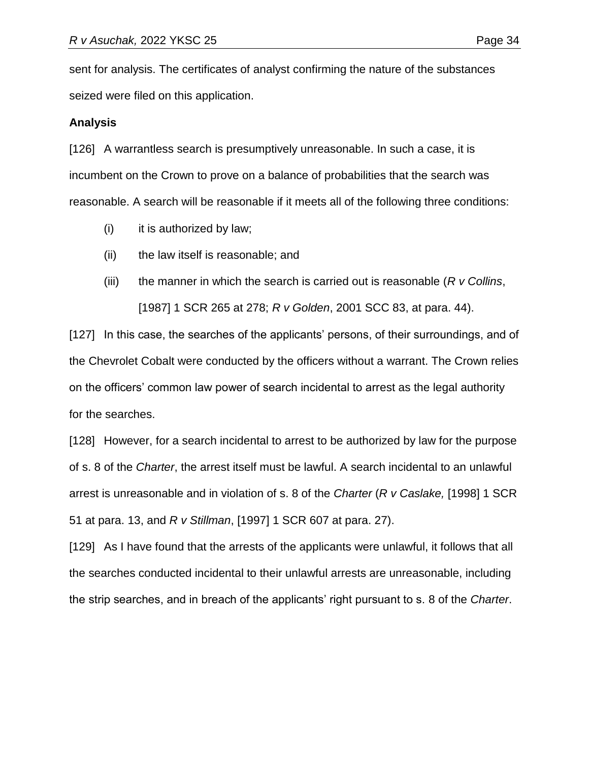sent for analysis. The certificates of analyst confirming the nature of the substances seized were filed on this application.

### **Analysis**

[126] A warrantless search is presumptively unreasonable. In such a case, it is incumbent on the Crown to prove on a balance of probabilities that the search was reasonable. A search will be reasonable if it meets all of the following three conditions:

- (i) it is authorized by law;
- (ii) the law itself is reasonable; and
- (iii) the manner in which the search is carried out is reasonable (*R v Collins*, [1987] 1 SCR 265 at 278; *R v Golden*, 2001 SCC 83, at para. 44).

[127] In this case, the searches of the applicants' persons, of their surroundings, and of the Chevrolet Cobalt were conducted by the officers without a warrant. The Crown relies on the officers' common law power of search incidental to arrest as the legal authority for the searches.

[128] However, for a search incidental to arrest to be authorized by law for the purpose of s. 8 of the *Charter*, the arrest itself must be lawful. A search incidental to an unlawful arrest is unreasonable and in violation of s. 8 of the *Charter* (*R v Caslake,* [1998] 1 SCR 51 at para. 13, and *R v Stillman*, [1997] 1 SCR 607 at para. 27).

[129] As I have found that the arrests of the applicants were unlawful, it follows that all the searches conducted incidental to their unlawful arrests are unreasonable, including the strip searches, and in breach of the applicants' right pursuant to s. 8 of the *Charter*.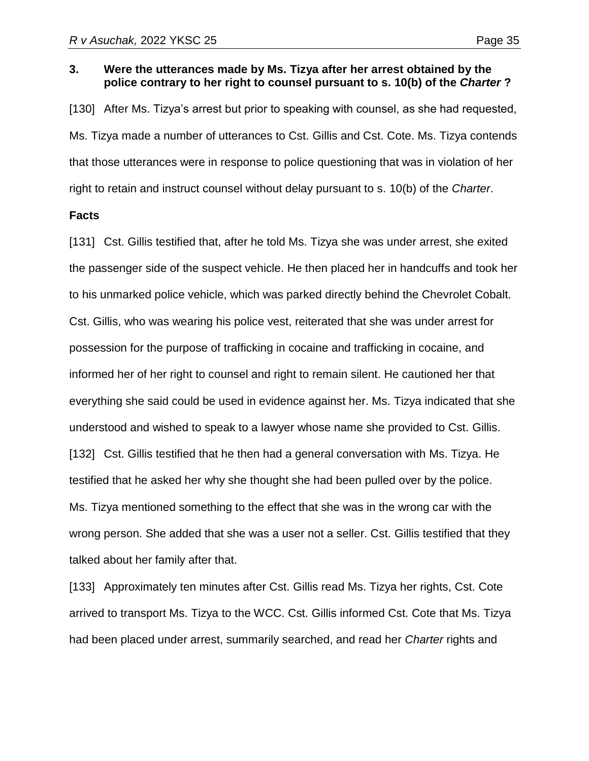#### **3. Were the utterances made by Ms. Tizya after her arrest obtained by the police contrary to her right to counsel pursuant to s. 10(b) of the** *Charter* **?**

[130] After Ms. Tizya's arrest but prior to speaking with counsel, as she had requested, Ms. Tizya made a number of utterances to Cst. Gillis and Cst. Cote. Ms. Tizya contends that those utterances were in response to police questioning that was in violation of her right to retain and instruct counsel without delay pursuant to s. 10(b) of the *Charter*.

#### **Facts**

[131] Cst. Gillis testified that, after he told Ms. Tizya she was under arrest, she exited the passenger side of the suspect vehicle. He then placed her in handcuffs and took her to his unmarked police vehicle, which was parked directly behind the Chevrolet Cobalt. Cst. Gillis, who was wearing his police vest, reiterated that she was under arrest for possession for the purpose of trafficking in cocaine and trafficking in cocaine, and informed her of her right to counsel and right to remain silent. He cautioned her that everything she said could be used in evidence against her. Ms. Tizya indicated that she understood and wished to speak to a lawyer whose name she provided to Cst. Gillis. [132] Cst. Gillis testified that he then had a general conversation with Ms. Tizya. He testified that he asked her why she thought she had been pulled over by the police. Ms. Tizya mentioned something to the effect that she was in the wrong car with the wrong person. She added that she was a user not a seller. Cst. Gillis testified that they talked about her family after that.

[133] Approximately ten minutes after Cst. Gillis read Ms. Tizya her rights, Cst. Cote arrived to transport Ms. Tizya to the WCC. Cst. Gillis informed Cst. Cote that Ms. Tizya had been placed under arrest, summarily searched, and read her *Charter* rights and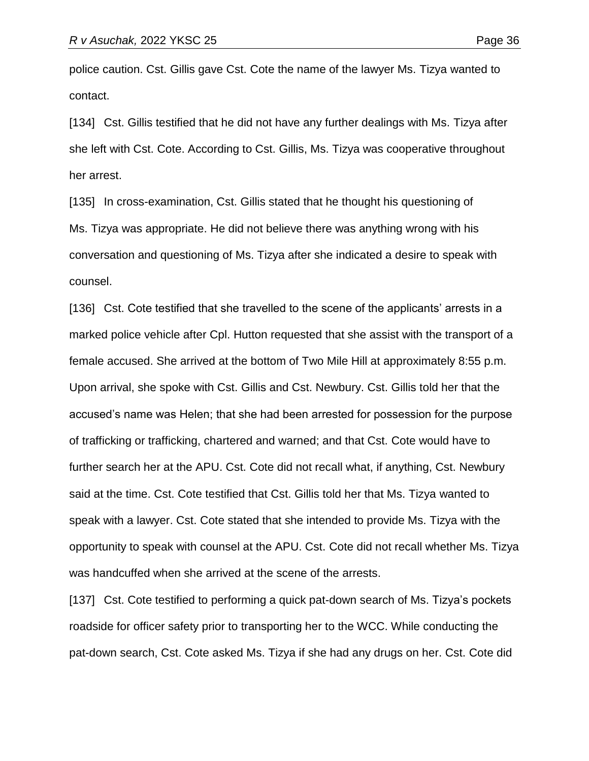police caution. Cst. Gillis gave Cst. Cote the name of the lawyer Ms. Tizya wanted to contact.

[134] Cst. Gillis testified that he did not have any further dealings with Ms. Tizya after she left with Cst. Cote. According to Cst. Gillis, Ms. Tizya was cooperative throughout her arrest.

[135] In cross-examination, Cst. Gillis stated that he thought his questioning of Ms. Tizya was appropriate. He did not believe there was anything wrong with his conversation and questioning of Ms. Tizya after she indicated a desire to speak with counsel.

[136] Cst. Cote testified that she travelled to the scene of the applicants' arrests in a marked police vehicle after Cpl. Hutton requested that she assist with the transport of a female accused. She arrived at the bottom of Two Mile Hill at approximately 8:55 p.m. Upon arrival, she spoke with Cst. Gillis and Cst. Newbury. Cst. Gillis told her that the accused's name was Helen; that she had been arrested for possession for the purpose of trafficking or trafficking, chartered and warned; and that Cst. Cote would have to further search her at the APU. Cst. Cote did not recall what, if anything, Cst. Newbury said at the time. Cst. Cote testified that Cst. Gillis told her that Ms. Tizya wanted to speak with a lawyer. Cst. Cote stated that she intended to provide Ms. Tizya with the opportunity to speak with counsel at the APU. Cst. Cote did not recall whether Ms. Tizya was handcuffed when she arrived at the scene of the arrests.

[137] Cst. Cote testified to performing a quick pat-down search of Ms. Tizya's pockets roadside for officer safety prior to transporting her to the WCC. While conducting the pat-down search, Cst. Cote asked Ms. Tizya if she had any drugs on her. Cst. Cote did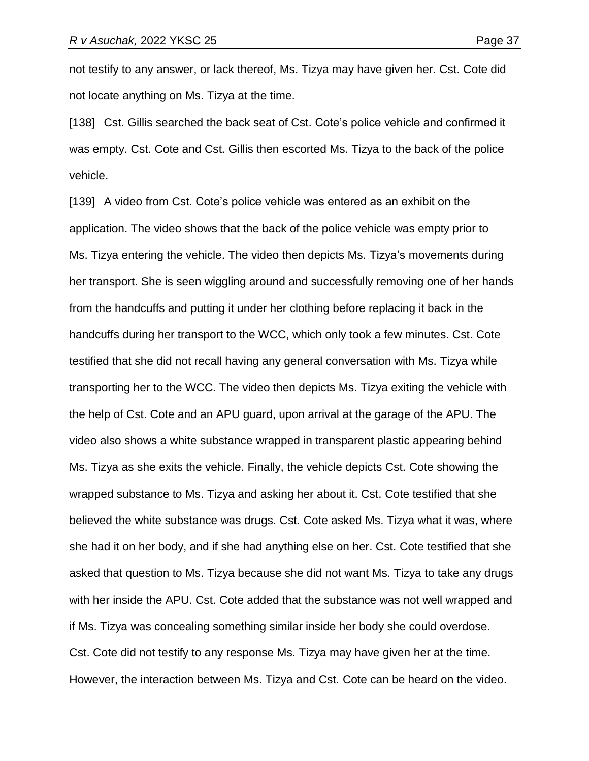not testify to any answer, or lack thereof, Ms. Tizya may have given her. Cst. Cote did not locate anything on Ms. Tizya at the time.

[138] Cst. Gillis searched the back seat of Cst. Cote's police vehicle and confirmed it was empty. Cst. Cote and Cst. Gillis then escorted Ms. Tizya to the back of the police vehicle.

[139] A video from Cst. Cote's police vehicle was entered as an exhibit on the application. The video shows that the back of the police vehicle was empty prior to Ms. Tizya entering the vehicle. The video then depicts Ms. Tizya's movements during her transport. She is seen wiggling around and successfully removing one of her hands from the handcuffs and putting it under her clothing before replacing it back in the handcuffs during her transport to the WCC, which only took a few minutes. Cst. Cote testified that she did not recall having any general conversation with Ms. Tizya while transporting her to the WCC. The video then depicts Ms. Tizya exiting the vehicle with the help of Cst. Cote and an APU guard, upon arrival at the garage of the APU. The video also shows a white substance wrapped in transparent plastic appearing behind Ms. Tizya as she exits the vehicle. Finally, the vehicle depicts Cst. Cote showing the wrapped substance to Ms. Tizya and asking her about it. Cst. Cote testified that she believed the white substance was drugs. Cst. Cote asked Ms. Tizya what it was, where she had it on her body, and if she had anything else on her. Cst. Cote testified that she asked that question to Ms. Tizya because she did not want Ms. Tizya to take any drugs with her inside the APU. Cst. Cote added that the substance was not well wrapped and if Ms. Tizya was concealing something similar inside her body she could overdose. Cst. Cote did not testify to any response Ms. Tizya may have given her at the time. However, the interaction between Ms. Tizya and Cst. Cote can be heard on the video.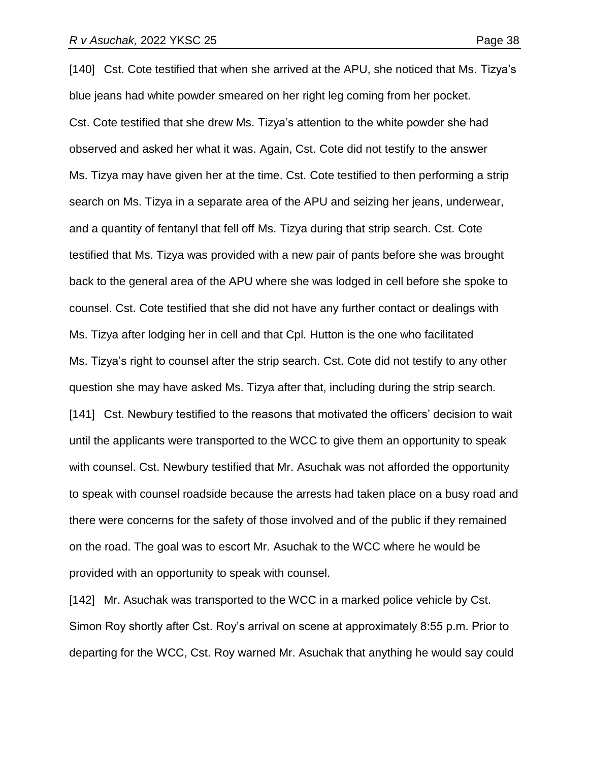[140] Cst. Cote testified that when she arrived at the APU, she noticed that Ms. Tizya's blue jeans had white powder smeared on her right leg coming from her pocket. Cst. Cote testified that she drew Ms. Tizya's attention to the white powder she had observed and asked her what it was. Again, Cst. Cote did not testify to the answer Ms. Tizya may have given her at the time. Cst. Cote testified to then performing a strip search on Ms. Tizya in a separate area of the APU and seizing her jeans, underwear, and a quantity of fentanyl that fell off Ms. Tizya during that strip search. Cst. Cote testified that Ms. Tizya was provided with a new pair of pants before she was brought back to the general area of the APU where she was lodged in cell before she spoke to counsel. Cst. Cote testified that she did not have any further contact or dealings with Ms. Tizya after lodging her in cell and that Cpl. Hutton is the one who facilitated Ms. Tizya's right to counsel after the strip search. Cst. Cote did not testify to any other question she may have asked Ms. Tizya after that, including during the strip search. [141] Cst. Newbury testified to the reasons that motivated the officers' decision to wait until the applicants were transported to the WCC to give them an opportunity to speak with counsel. Cst. Newbury testified that Mr. Asuchak was not afforded the opportunity to speak with counsel roadside because the arrests had taken place on a busy road and there were concerns for the safety of those involved and of the public if they remained on the road. The goal was to escort Mr. Asuchak to the WCC where he would be provided with an opportunity to speak with counsel.

[142] Mr. Asuchak was transported to the WCC in a marked police vehicle by Cst. Simon Roy shortly after Cst. Roy's arrival on scene at approximately 8:55 p.m. Prior to departing for the WCC, Cst. Roy warned Mr. Asuchak that anything he would say could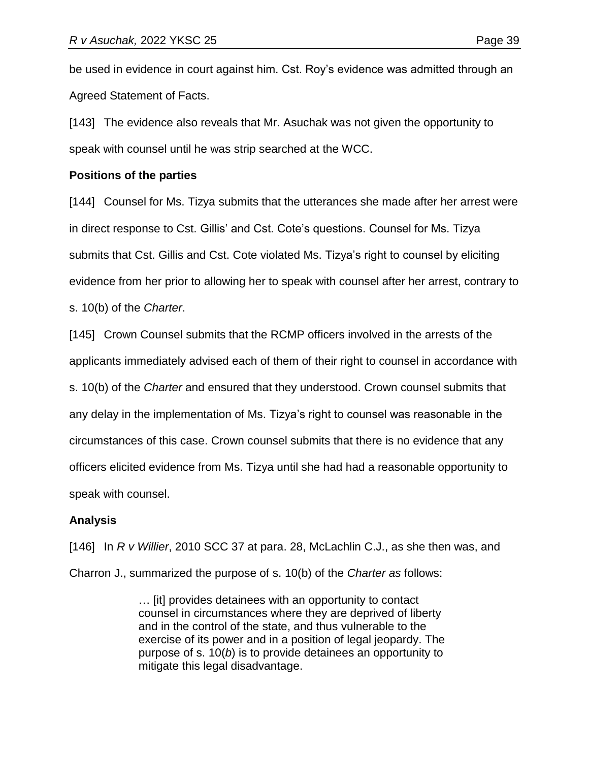be used in evidence in court against him. Cst. Roy's evidence was admitted through an Agreed Statement of Facts.

[143] The evidence also reveals that Mr. Asuchak was not given the opportunity to speak with counsel until he was strip searched at the WCC.

#### **Positions of the parties**

[144] Counsel for Ms. Tizya submits that the utterances she made after her arrest were in direct response to Cst. Gillis' and Cst. Cote's questions. Counsel for Ms. Tizya submits that Cst. Gillis and Cst. Cote violated Ms. Tizya's right to counsel by eliciting evidence from her prior to allowing her to speak with counsel after her arrest, contrary to s. 10(b) of the *Charter*.

[145] Crown Counsel submits that the RCMP officers involved in the arrests of the applicants immediately advised each of them of their right to counsel in accordance with s. 10(b) of the *Charter* and ensured that they understood. Crown counsel submits that any delay in the implementation of Ms. Tizya's right to counsel was reasonable in the circumstances of this case. Crown counsel submits that there is no evidence that any officers elicited evidence from Ms. Tizya until she had had a reasonable opportunity to speak with counsel.

## **Analysis**

[146] In *R v Willier*, 2010 SCC 37 at para. 28, McLachlin C.J., as she then was, and Charron J., summarized the purpose of s. 10(b) of the *Charter as* follows:

> … [it] provides detainees with an opportunity to contact counsel in circumstances where they are deprived of liberty and in the control of the state, and thus vulnerable to the exercise of its power and in a position of legal jeopardy. The purpose of s. 10(*b*) is to provide detainees an opportunity to mitigate this legal disadvantage.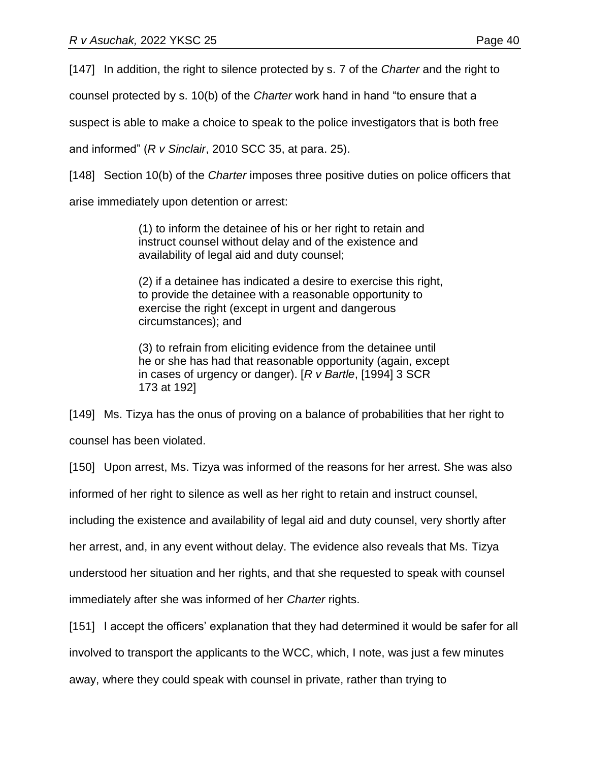[147] In addition, the right to silence protected by s. 7 of the *Charter* and the right to

counsel protected by s. 10(b) of the *Charter* work hand in hand "to ensure that a

suspect is able to make a choice to speak to the police investigators that is both free

and informed" (*R v Sinclair*, 2010 SCC 35, at para. 25).

[148] Section 10(b) of the *Charter* imposes three positive duties on police officers that

arise immediately upon detention or arrest:

(1) to inform the detainee of his or her right to retain and instruct counsel without delay and of the existence and availability of legal aid and duty counsel;

(2) if a detainee has indicated a desire to exercise this right, to provide the detainee with a reasonable opportunity to exercise the right (except in urgent and dangerous circumstances); and

(3) to refrain from eliciting evidence from the detainee until he or she has had that reasonable opportunity (again, except in cases of urgency or danger). [*R v Bartle*, [1994] 3 SCR 173 at 192]

[149] Ms. Tizya has the onus of proving on a balance of probabilities that her right to counsel has been violated.

[150] Upon arrest, Ms. Tizya was informed of the reasons for her arrest. She was also

informed of her right to silence as well as her right to retain and instruct counsel,

including the existence and availability of legal aid and duty counsel, very shortly after

her arrest, and, in any event without delay. The evidence also reveals that Ms. Tizya

understood her situation and her rights, and that she requested to speak with counsel

immediately after she was informed of her *Charter* rights.

[151] I accept the officers' explanation that they had determined it would be safer for all

involved to transport the applicants to the WCC, which, I note, was just a few minutes

away, where they could speak with counsel in private, rather than trying to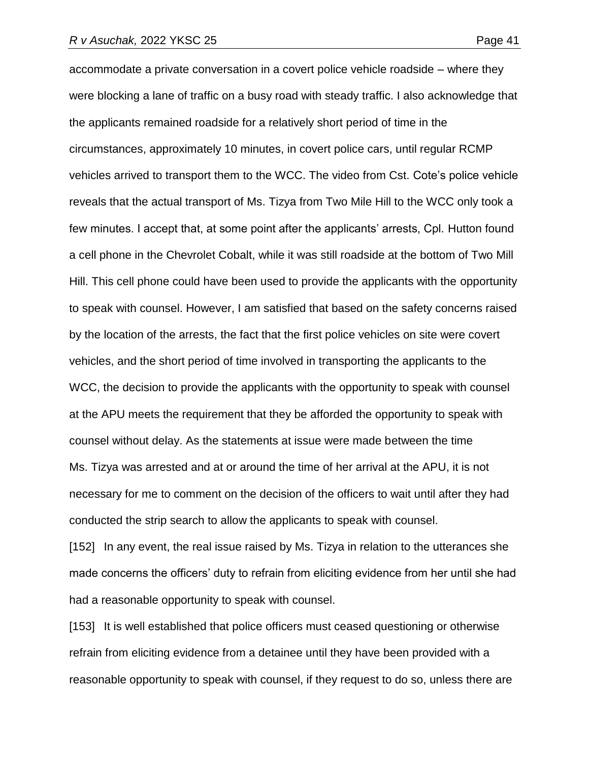accommodate a private conversation in a covert police vehicle roadside – where they were blocking a lane of traffic on a busy road with steady traffic. I also acknowledge that the applicants remained roadside for a relatively short period of time in the circumstances, approximately 10 minutes, in covert police cars, until regular RCMP vehicles arrived to transport them to the WCC. The video from Cst. Cote's police vehicle reveals that the actual transport of Ms. Tizya from Two Mile Hill to the WCC only took a few minutes. I accept that, at some point after the applicants' arrests, Cpl. Hutton found a cell phone in the Chevrolet Cobalt, while it was still roadside at the bottom of Two Mill Hill. This cell phone could have been used to provide the applicants with the opportunity to speak with counsel. However, I am satisfied that based on the safety concerns raised by the location of the arrests, the fact that the first police vehicles on site were covert vehicles, and the short period of time involved in transporting the applicants to the WCC, the decision to provide the applicants with the opportunity to speak with counsel at the APU meets the requirement that they be afforded the opportunity to speak with counsel without delay. As the statements at issue were made between the time Ms. Tizya was arrested and at or around the time of her arrival at the APU, it is not necessary for me to comment on the decision of the officers to wait until after they had conducted the strip search to allow the applicants to speak with counsel.

[152] In any event, the real issue raised by Ms. Tizya in relation to the utterances she made concerns the officers' duty to refrain from eliciting evidence from her until she had had a reasonable opportunity to speak with counsel.

[153] It is well established that police officers must ceased questioning or otherwise refrain from eliciting evidence from a detainee until they have been provided with a reasonable opportunity to speak with counsel, if they request to do so, unless there are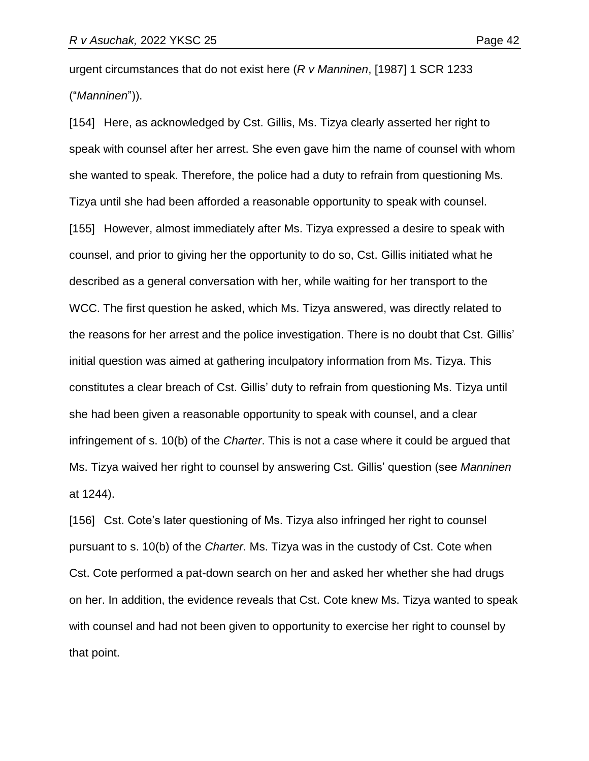urgent circumstances that do not exist here (*R v Manninen*, [1987] 1 SCR 1233 ("*Manninen*")).

[154] Here, as acknowledged by Cst. Gillis, Ms. Tizya clearly asserted her right to speak with counsel after her arrest. She even gave him the name of counsel with whom she wanted to speak. Therefore, the police had a duty to refrain from questioning Ms. Tizya until she had been afforded a reasonable opportunity to speak with counsel. [155] However, almost immediately after Ms. Tizya expressed a desire to speak with counsel, and prior to giving her the opportunity to do so, Cst. Gillis initiated what he described as a general conversation with her, while waiting for her transport to the WCC. The first question he asked, which Ms. Tizya answered, was directly related to the reasons for her arrest and the police investigation. There is no doubt that Cst. Gillis' initial question was aimed at gathering inculpatory information from Ms. Tizya. This constitutes a clear breach of Cst. Gillis' duty to refrain from questioning Ms. Tizya until she had been given a reasonable opportunity to speak with counsel, and a clear infringement of s. 10(b) of the *Charter*. This is not a case where it could be argued that Ms. Tizya waived her right to counsel by answering Cst. Gillis' question (see *Manninen*  at 1244).

[156] Cst. Cote's later questioning of Ms. Tizya also infringed her right to counsel pursuant to s. 10(b) of the *Charter*. Ms. Tizya was in the custody of Cst. Cote when Cst. Cote performed a pat-down search on her and asked her whether she had drugs on her. In addition, the evidence reveals that Cst. Cote knew Ms. Tizya wanted to speak with counsel and had not been given to opportunity to exercise her right to counsel by that point.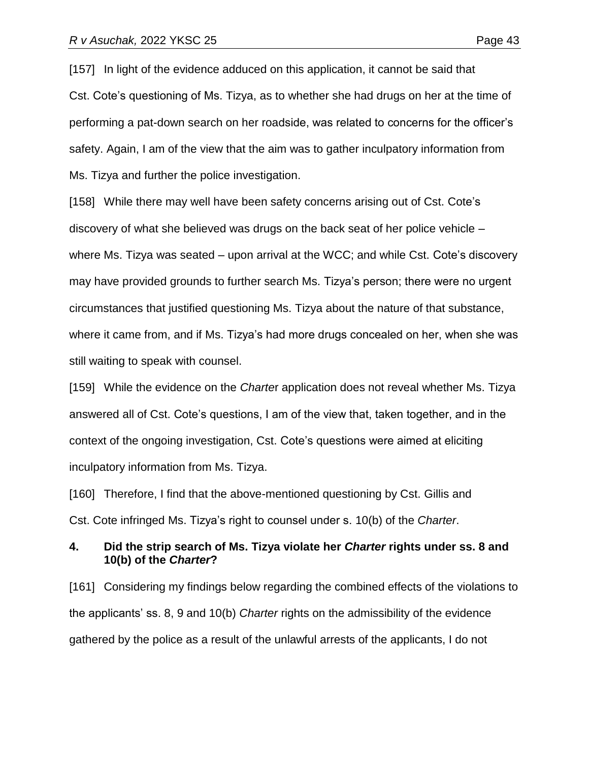[157] In light of the evidence adduced on this application, it cannot be said that Cst. Cote's questioning of Ms. Tizya, as to whether she had drugs on her at the time of performing a pat-down search on her roadside, was related to concerns for the officer's safety. Again, I am of the view that the aim was to gather inculpatory information from Ms. Tizya and further the police investigation.

[158] While there may well have been safety concerns arising out of Cst. Cote's discovery of what she believed was drugs on the back seat of her police vehicle – where Ms. Tizya was seated – upon arrival at the WCC; and while Cst. Cote's discovery may have provided grounds to further search Ms. Tizya's person; there were no urgent circumstances that justified questioning Ms. Tizya about the nature of that substance, where it came from, and if Ms. Tizya's had more drugs concealed on her, when she was still waiting to speak with counsel.

[159] While the evidence on the *Charte*r application does not reveal whether Ms. Tizya answered all of Cst. Cote's questions, I am of the view that, taken together, and in the context of the ongoing investigation, Cst. Cote's questions were aimed at eliciting inculpatory information from Ms. Tizya.

[160] Therefore, I find that the above-mentioned questioning by Cst. Gillis and Cst. Cote infringed Ms. Tizya's right to counsel under s. 10(b) of the *Charter*.

## **4. Did the strip search of Ms. Tizya violate her** *Charter* **rights under ss. 8 and 10(b) of the** *Charter***?**

[161] Considering my findings below regarding the combined effects of the violations to the applicants' ss. 8, 9 and 10(b) *Charter* rights on the admissibility of the evidence gathered by the police as a result of the unlawful arrests of the applicants, I do not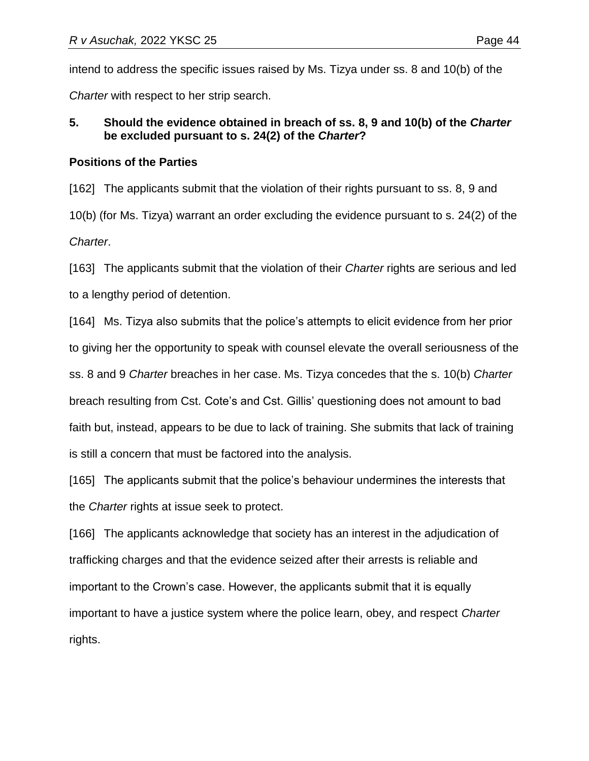intend to address the specific issues raised by Ms. Tizya under ss. 8 and 10(b) of the *Charter* with respect to her strip search.

# **5. Should the evidence obtained in breach of ss. 8, 9 and 10(b) of the** *Charter* **be excluded pursuant to s. 24(2) of the** *Charter***?**

# **Positions of the Parties**

[162] The applicants submit that the violation of their rights pursuant to ss. 8, 9 and 10(b) (for Ms. Tizya) warrant an order excluding the evidence pursuant to s. 24(2) of the *Charter*.

[163] The applicants submit that the violation of their *Charter* rights are serious and led to a lengthy period of detention.

[164] Ms. Tizya also submits that the police's attempts to elicit evidence from her prior to giving her the opportunity to speak with counsel elevate the overall seriousness of the ss. 8 and 9 *Charter* breaches in her case. Ms. Tizya concedes that the s. 10(b) *Charter* breach resulting from Cst. Cote's and Cst. Gillis' questioning does not amount to bad faith but, instead, appears to be due to lack of training. She submits that lack of training is still a concern that must be factored into the analysis.

[165] The applicants submit that the police's behaviour undermines the interests that the *Charter* rights at issue seek to protect.

[166] The applicants acknowledge that society has an interest in the adjudication of trafficking charges and that the evidence seized after their arrests is reliable and important to the Crown's case. However, the applicants submit that it is equally important to have a justice system where the police learn, obey, and respect *Charter* rights.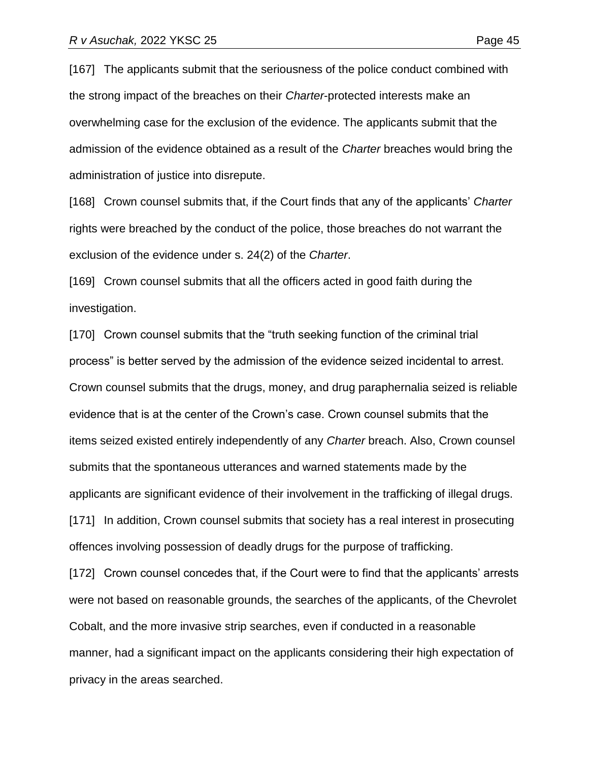[167] The applicants submit that the seriousness of the police conduct combined with the strong impact of the breaches on their *Charter*-protected interests make an overwhelming case for the exclusion of the evidence. The applicants submit that the admission of the evidence obtained as a result of the *Charter* breaches would bring the administration of justice into disrepute.

[168] Crown counsel submits that, if the Court finds that any of the applicants' *Charter*  rights were breached by the conduct of the police, those breaches do not warrant the exclusion of the evidence under s. 24(2) of the *Charter*.

[169] Crown counsel submits that all the officers acted in good faith during the investigation.

[170] Crown counsel submits that the "truth seeking function of the criminal trial process" is better served by the admission of the evidence seized incidental to arrest. Crown counsel submits that the drugs, money, and drug paraphernalia seized is reliable evidence that is at the center of the Crown's case. Crown counsel submits that the items seized existed entirely independently of any *Charter* breach. Also, Crown counsel submits that the spontaneous utterances and warned statements made by the applicants are significant evidence of their involvement in the trafficking of illegal drugs. [171] In addition, Crown counsel submits that society has a real interest in prosecuting offences involving possession of deadly drugs for the purpose of trafficking. [172] Crown counsel concedes that, if the Court were to find that the applicants' arrests

were not based on reasonable grounds, the searches of the applicants, of the Chevrolet Cobalt, and the more invasive strip searches, even if conducted in a reasonable manner, had a significant impact on the applicants considering their high expectation of privacy in the areas searched.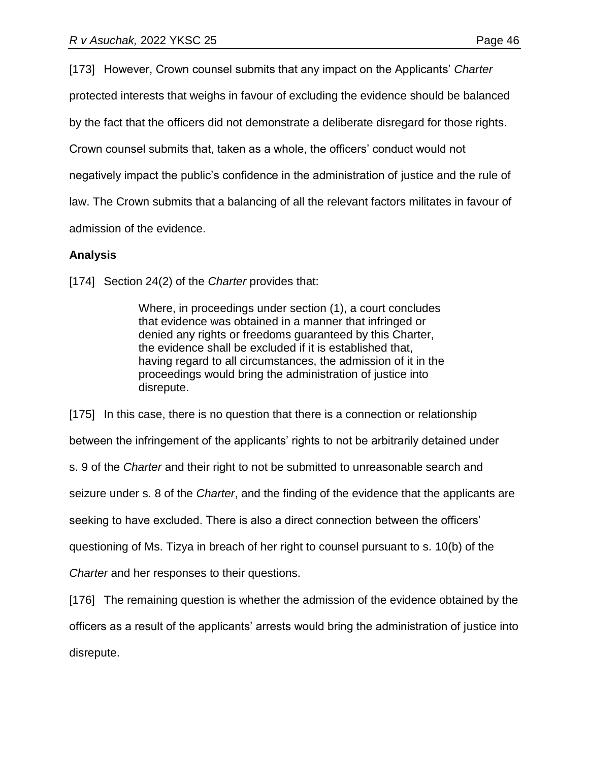[173] However, Crown counsel submits that any impact on the Applicants' *Charter*

protected interests that weighs in favour of excluding the evidence should be balanced

by the fact that the officers did not demonstrate a deliberate disregard for those rights.

Crown counsel submits that, taken as a whole, the officers' conduct would not

negatively impact the public's confidence in the administration of justice and the rule of

law. The Crown submits that a balancing of all the relevant factors militates in favour of

admission of the evidence.

# **Analysis**

[174] Section 24(2) of the *Charter* provides that:

Where, in proceedings under section (1), a court concludes that evidence was obtained in a manner that infringed or denied any rights or freedoms guaranteed by this Charter, the evidence shall be excluded if it is established that, having regard to all circumstances, the admission of it in the proceedings would bring the administration of justice into disrepute.

[175] In this case, there is no question that there is a connection or relationship

between the infringement of the applicants' rights to not be arbitrarily detained under

s. 9 of the *Charter* and their right to not be submitted to unreasonable search and

seizure under s. 8 of the *Charter*, and the finding of the evidence that the applicants are

seeking to have excluded. There is also a direct connection between the officers'

questioning of Ms. Tizya in breach of her right to counsel pursuant to s. 10(b) of the

*Charter* and her responses to their questions.

[176] The remaining question is whether the admission of the evidence obtained by the officers as a result of the applicants' arrests would bring the administration of justice into disrepute.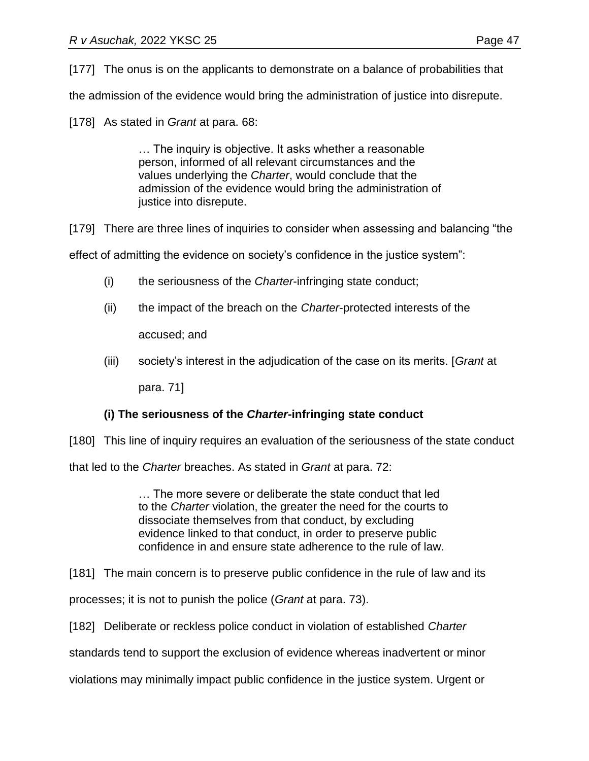[177] The onus is on the applicants to demonstrate on a balance of probabilities that

the admission of the evidence would bring the administration of justice into disrepute.

[178] As stated in *Grant* at para. 68:

… The inquiry is objective. It asks whether a reasonable person, informed of all relevant circumstances and the values underlying the *Charter*, would conclude that the admission of the evidence would bring the administration of justice into disrepute.

[179] There are three lines of inquiries to consider when assessing and balancing "the

effect of admitting the evidence on society's confidence in the justice system":

- (i) the seriousness of the *Charter*-infringing state conduct;
- (ii) the impact of the breach on the *Charter*-protected interests of the

accused; and

(iii) society's interest in the adjudication of the case on its merits. [*Grant* at

para. 71]

# **(i) The seriousness of the** *Charter***-infringing state conduct**

[180] This line of inquiry requires an evaluation of the seriousness of the state conduct

that led to the *Charter* breaches. As stated in *Grant* at para. 72:

… The more severe or deliberate the state conduct that led to the *Charter* violation, the greater the need for the courts to dissociate themselves from that conduct, by excluding evidence linked to that conduct, in order to preserve public confidence in and ensure state adherence to the rule of law.

[181] The main concern is to preserve public confidence in the rule of law and its

processes; it is not to punish the police (*Grant* at para. 73).

[182] Deliberate or reckless police conduct in violation of established *Charter*

standards tend to support the exclusion of evidence whereas inadvertent or minor

violations may minimally impact public confidence in the justice system. Urgent or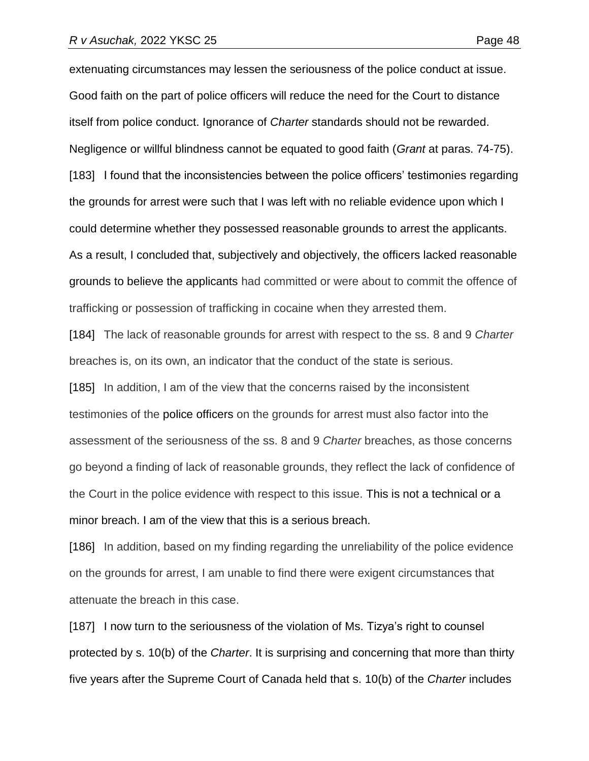extenuating circumstances may lessen the seriousness of the police conduct at issue. Good faith on the part of police officers will reduce the need for the Court to distance itself from police conduct. Ignorance of *Charter* standards should not be rewarded. Negligence or willful blindness cannot be equated to good faith (*Grant* at paras. 74-75). [183] I found that the inconsistencies between the police officers' testimonies regarding the grounds for arrest were such that I was left with no reliable evidence upon which I could determine whether they possessed reasonable grounds to arrest the applicants. As a result, I concluded that, subjectively and objectively, the officers lacked reasonable grounds to believe the applicants had committed or were about to commit the offence of trafficking or possession of trafficking in cocaine when they arrested them.

[184] The lack of reasonable grounds for arrest with respect to the ss. 8 and 9 *Charter* breaches is, on its own, an indicator that the conduct of the state is serious. [185] In addition, I am of the view that the concerns raised by the inconsistent testimonies of the police officers on the grounds for arrest must also factor into the assessment of the seriousness of the ss. 8 and 9 *Charter* breaches, as those concerns go beyond a finding of lack of reasonable grounds, they reflect the lack of confidence of the Court in the police evidence with respect to this issue. This is not a technical or a minor breach. I am of the view that this is a serious breach.

[186] In addition, based on my finding regarding the unreliability of the police evidence on the grounds for arrest, I am unable to find there were exigent circumstances that attenuate the breach in this case.

[187] I now turn to the seriousness of the violation of Ms. Tizya's right to counsel protected by s. 10(b) of the *Charter*. It is surprising and concerning that more than thirty five years after the Supreme Court of Canada held that s. 10(b) of the *Charter* includes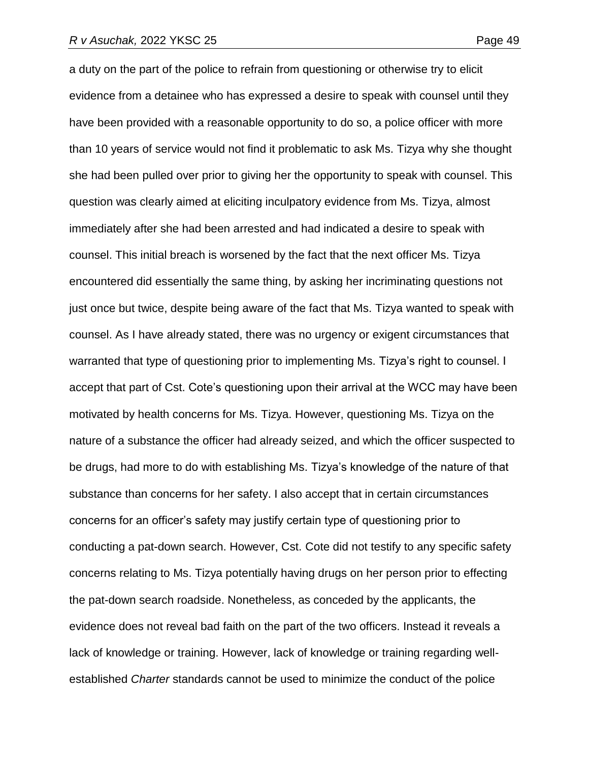a duty on the part of the police to refrain from questioning or otherwise try to elicit evidence from a detainee who has expressed a desire to speak with counsel until they have been provided with a reasonable opportunity to do so, a police officer with more than 10 years of service would not find it problematic to ask Ms. Tizya why she thought she had been pulled over prior to giving her the opportunity to speak with counsel. This question was clearly aimed at eliciting inculpatory evidence from Ms. Tizya, almost immediately after she had been arrested and had indicated a desire to speak with counsel. This initial breach is worsened by the fact that the next officer Ms. Tizya encountered did essentially the same thing, by asking her incriminating questions not just once but twice, despite being aware of the fact that Ms. Tizya wanted to speak with counsel. As I have already stated, there was no urgency or exigent circumstances that warranted that type of questioning prior to implementing Ms. Tizya's right to counsel. I accept that part of Cst. Cote's questioning upon their arrival at the WCC may have been motivated by health concerns for Ms. Tizya. However, questioning Ms. Tizya on the nature of a substance the officer had already seized, and which the officer suspected to be drugs, had more to do with establishing Ms. Tizya's knowledge of the nature of that substance than concerns for her safety. I also accept that in certain circumstances concerns for an officer's safety may justify certain type of questioning prior to conducting a pat-down search. However, Cst. Cote did not testify to any specific safety concerns relating to Ms. Tizya potentially having drugs on her person prior to effecting the pat-down search roadside. Nonetheless, as conceded by the applicants, the evidence does not reveal bad faith on the part of the two officers. Instead it reveals a lack of knowledge or training. However, lack of knowledge or training regarding wellestablished *Charter* standards cannot be used to minimize the conduct of the police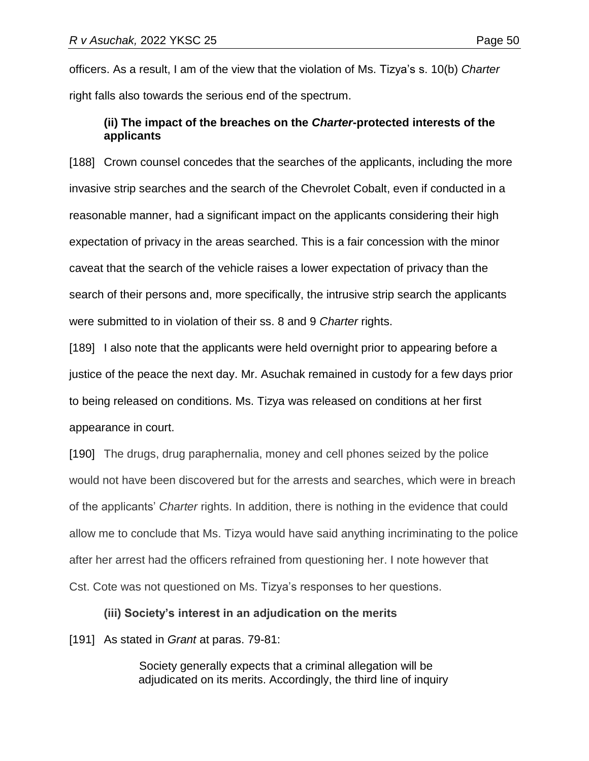officers. As a result, I am of the view that the violation of Ms. Tizya's s. 10(b) *Charter* right falls also towards the serious end of the spectrum.

# **(ii) The impact of the breaches on the** *Charter***-protected interests of the applicants**

[188] Crown counsel concedes that the searches of the applicants, including the more invasive strip searches and the search of the Chevrolet Cobalt, even if conducted in a reasonable manner, had a significant impact on the applicants considering their high expectation of privacy in the areas searched. This is a fair concession with the minor caveat that the search of the vehicle raises a lower expectation of privacy than the search of their persons and, more specifically, the intrusive strip search the applicants were submitted to in violation of their ss. 8 and 9 *Charter* rights.

[189] I also note that the applicants were held overnight prior to appearing before a justice of the peace the next day. Mr. Asuchak remained in custody for a few days prior to being released on conditions. Ms. Tizya was released on conditions at her first appearance in court.

[190] The drugs, drug paraphernalia, money and cell phones seized by the police would not have been discovered but for the arrests and searches, which were in breach of the applicants' *Charter* rights. In addition, there is nothing in the evidence that could allow me to conclude that Ms. Tizya would have said anything incriminating to the police after her arrest had the officers refrained from questioning her. I note however that Cst. Cote was not questioned on Ms. Tizya's responses to her questions.

## **(iii) Society's interest in an adjudication on the merits**

[191] As stated in *Grant* at paras. 79-81:

Society generally expects that a criminal allegation will be adjudicated on its merits. Accordingly, the third line of inquiry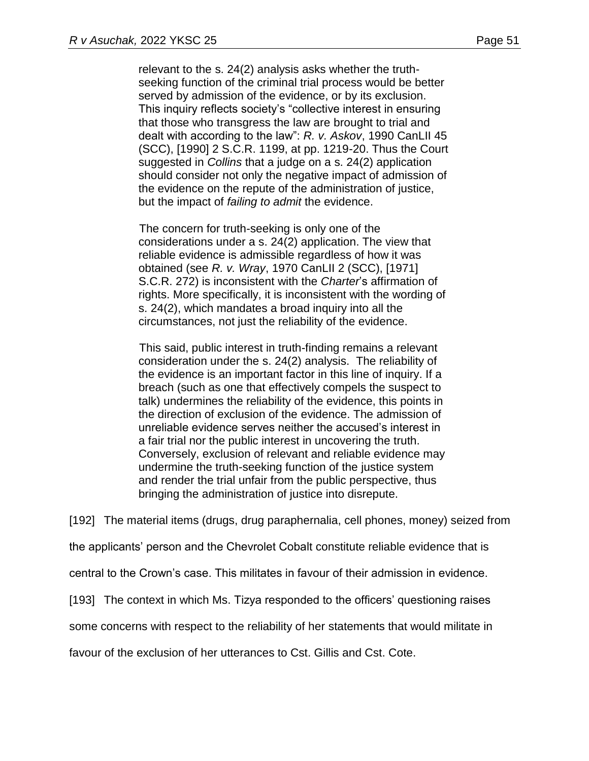relevant to the s. 24(2) analysis asks whether the truthseeking function of the criminal trial process would be better served by admission of the evidence, or by its exclusion. This inquiry reflects society's "collective interest in ensuring that those who transgress the law are brought to trial and dealt with according to the law": *R. v. Askov*, [1990 CanLII 45](https://www.canlii.org/en/ca/scc/doc/1990/1990canlii45/1990canlii45.html)  [\(SCC\),](https://www.canlii.org/en/ca/scc/doc/1990/1990canlii45/1990canlii45.html) [1990] 2 S.C.R. 1199, at pp. 1219-20. Thus the Court suggested in *Collins* that a judge on a s. 24(2) application should consider not only the negative impact of admission of the evidence on the repute of the administration of justice, but the impact of *failing to admit* the evidence.

The concern for truth-seeking is only one of the considerations under a s. 24(2) application. The view that reliable evidence is admissible regardless of how it was obtained (see *R. v. Wray*, 1970 CanLII 2 (SCC), [1971] S.C.R. 272) is inconsistent with the *Charter*'s affirmation of rights. More specifically, it is inconsistent with the wording of s. 24(2), which mandates a broad inquiry into all the circumstances, not just the reliability of the evidence.

This said, public interest in truth-finding remains a relevant consideration under the s. 24(2) analysis. The reliability of the evidence is an important factor in this line of inquiry. If a breach (such as one that effectively compels the suspect to talk) undermines the reliability of the evidence, this points in the direction of exclusion of the evidence. The admission of unreliable evidence serves neither the accused's interest in a fair trial nor the public interest in uncovering the truth. Conversely, exclusion of relevant and reliable evidence may undermine the truth-seeking function of the justice system and render the trial unfair from the public perspective, thus bringing the administration of justice into disrepute.

[192] The material items (drugs, drug paraphernalia, cell phones, money) seized from

the applicants' person and the Chevrolet Cobalt constitute reliable evidence that is

central to the Crown's case. This militates in favour of their admission in evidence.

[193] The context in which Ms. Tizya responded to the officers' questioning raises

some concerns with respect to the reliability of her statements that would militate in

favour of the exclusion of her utterances to Cst. Gillis and Cst. Cote.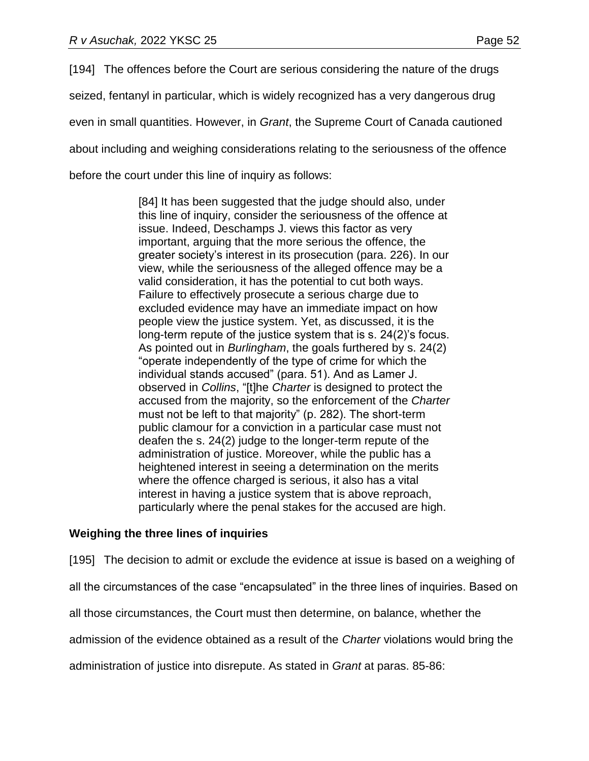[194] The offences before the Court are serious considering the nature of the drugs seized, fentanyl in particular, which is widely recognized has a very dangerous drug even in small quantities. However, in *Grant*, the Supreme Court of Canada cautioned about including and weighing considerations relating to the seriousness of the offence before the court under this line of inquiry as follows:

> [84] It has been suggested that the judge should also, under this line of inquiry, consider the seriousness of the offence at issue. Indeed, Deschamps J. views this factor as very important, arguing that the more serious the offence, the greater society's interest in its prosecution (para. 226). In our view, while the seriousness of the alleged offence may be a valid consideration, it has the potential to cut both ways. Failure to effectively prosecute a serious charge due to excluded evidence may have an immediate impact on how people view the justice system. Yet, as discussed, it is the long-term repute of the justice system that is s. 24(2)'s focus. As pointed out in *Burlingham*, the goals furthered by s. 24(2) "operate independently of the type of crime for which the individual stands accused" (para. 51). And as Lamer J. observed in *Collins*, "[t]he *[Charter](https://www.canlii.org/en/ca/laws/stat/schedule-b-to-the-canada-act-1982-uk-1982-c-11/latest/schedule-b-to-the-canada-act-1982-uk-1982-c-11.html)* is designed to protect the accused from the majority, so the enforcement of the *[Charter](https://www.canlii.org/en/ca/laws/stat/schedule-b-to-the-canada-act-1982-uk-1982-c-11/latest/schedule-b-to-the-canada-act-1982-uk-1982-c-11.html)* must not be left to that majority" (p. 282). The short-term public clamour for a conviction in a particular case must not deafen the s. 24(2) judge to the longer-term repute of the administration of justice. Moreover, while the public has a heightened interest in seeing a determination on the merits where the offence charged is serious, it also has a vital interest in having a justice system that is above reproach, particularly where the penal stakes for the accused are high.

## **Weighing the three lines of inquiries**

[195] The decision to admit or exclude the evidence at issue is based on a weighing of

all the circumstances of the case "encapsulated" in the three lines of inquiries. Based on

all those circumstances, the Court must then determine, on balance, whether the

admission of the evidence obtained as a result of the *Charter* violations would bring the

administration of justice into disrepute. As stated in *Grant* at paras. 85-86: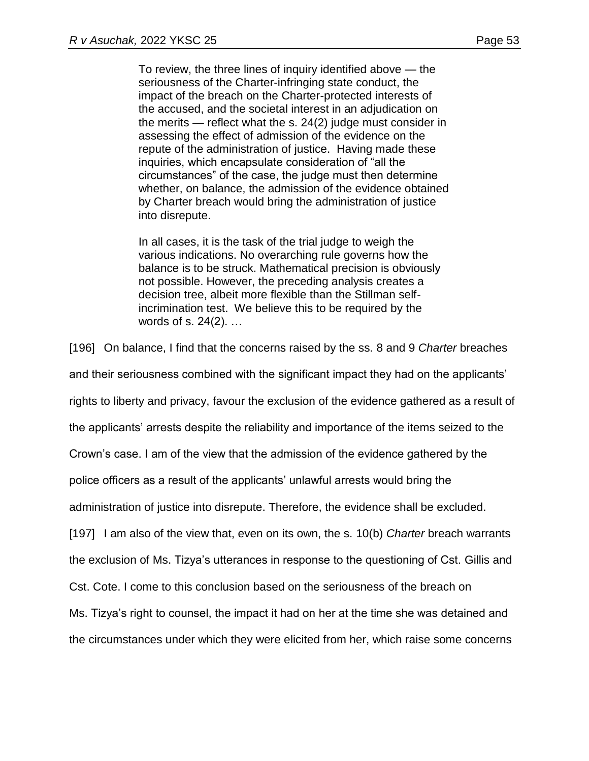To review, the three lines of inquiry identified above — the seriousness of the Charter-infringing state conduct, the impact of the breach on the Charter-protected interests of the accused, and the societal interest in an adjudication on the merits — reflect what the s. 24(2) judge must consider in assessing the effect of admission of the evidence on the repute of the administration of justice. Having made these inquiries, which encapsulate consideration of "all the circumstances" of the case, the judge must then determine whether, on balance, the admission of the evidence obtained by Charter breach would bring the administration of justice into disrepute.

In all cases, it is the task of the trial judge to weigh the various indications. No overarching rule governs how the balance is to be struck. Mathematical precision is obviously not possible. However, the preceding analysis creates a decision tree, albeit more flexible than the Stillman selfincrimination test. We believe this to be required by the words of s. 24(2). …

[196] On balance, I find that the concerns raised by the ss. 8 and 9 *Charter* breaches and their seriousness combined with the significant impact they had on the applicants' rights to liberty and privacy, favour the exclusion of the evidence gathered as a result of the applicants' arrests despite the reliability and importance of the items seized to the Crown's case. I am of the view that the admission of the evidence gathered by the police officers as a result of the applicants' unlawful arrests would bring the administration of justice into disrepute. Therefore, the evidence shall be excluded. [197] I am also of the view that, even on its own, the s. 10(b) *Charter* breach warrants the exclusion of Ms. Tizya's utterances in response to the questioning of Cst. Gillis and Cst. Cote. I come to this conclusion based on the seriousness of the breach on Ms. Tizya's right to counsel, the impact it had on her at the time she was detained and the circumstances under which they were elicited from her, which raise some concerns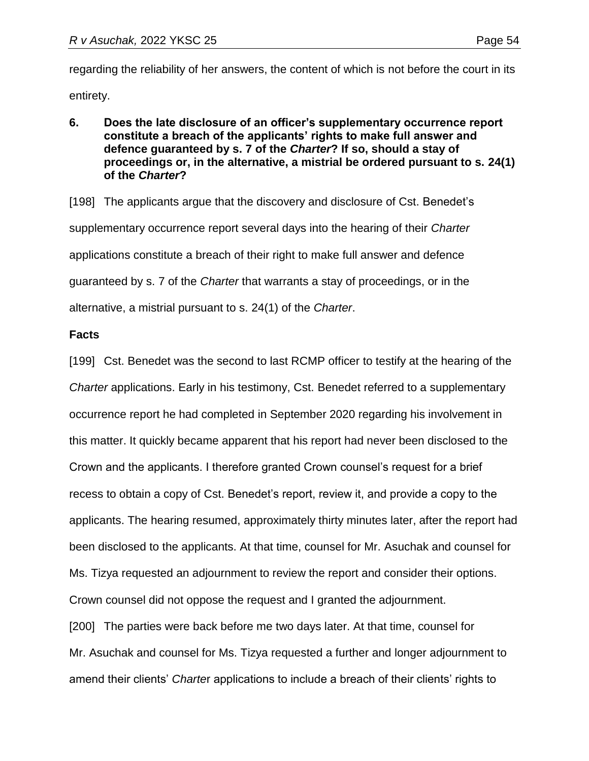regarding the reliability of her answers, the content of which is not before the court in its entirety.

- 
- **6. Does the late disclosure of an officer's supplementary occurrence report constitute a breach of the applicants' rights to make full answer and defence guaranteed by s. 7 of the** *Charter***? If so, should a stay of proceedings or, in the alternative, a mistrial be ordered pursuant to s. 24(1) of the** *Charter***?**

[198] The applicants argue that the discovery and disclosure of Cst. Benedet's supplementary occurrence report several days into the hearing of their *Charter* applications constitute a breach of their right to make full answer and defence guaranteed by s. 7 of the *Charter* that warrants a stay of proceedings, or in the alternative, a mistrial pursuant to s. 24(1) of the *Charter*.

### **Facts**

[199] Cst. Benedet was the second to last RCMP officer to testify at the hearing of the *Charter* applications. Early in his testimony, Cst. Benedet referred to a supplementary occurrence report he had completed in September 2020 regarding his involvement in this matter. It quickly became apparent that his report had never been disclosed to the Crown and the applicants. I therefore granted Crown counsel's request for a brief recess to obtain a copy of Cst. Benedet's report, review it, and provide a copy to the applicants. The hearing resumed, approximately thirty minutes later, after the report had been disclosed to the applicants. At that time, counsel for Mr. Asuchak and counsel for Ms. Tizya requested an adjournment to review the report and consider their options. Crown counsel did not oppose the request and I granted the adjournment. [200] The parties were back before me two days later. At that time, counsel for Mr. Asuchak and counsel for Ms. Tizya requested a further and longer adjournment to amend their clients' *Charte*r applications to include a breach of their clients' rights to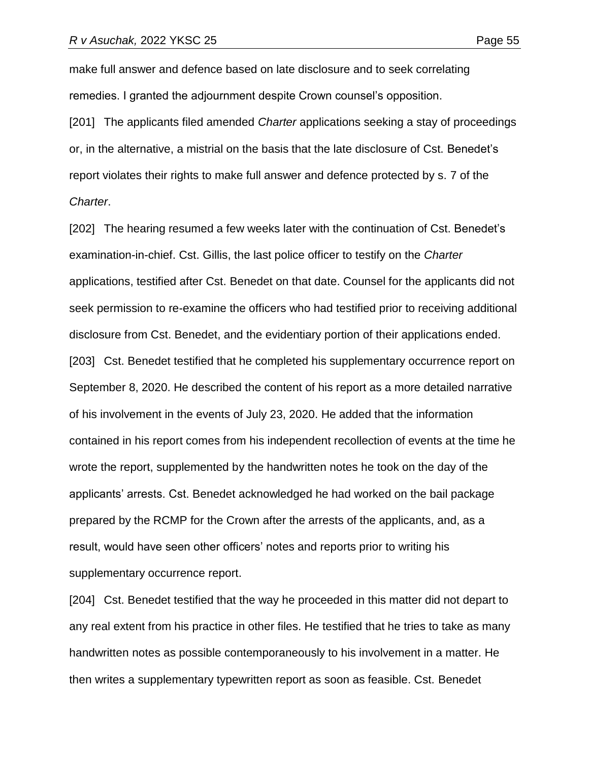make full answer and defence based on late disclosure and to seek correlating remedies. I granted the adjournment despite Crown counsel's opposition.

[201] The applicants filed amended *Charter* applications seeking a stay of proceedings or, in the alternative, a mistrial on the basis that the late disclosure of Cst. Benedet's report violates their rights to make full answer and defence protected by s. 7 of the *Charter*.

[202] The hearing resumed a few weeks later with the continuation of Cst. Benedet's examination-in-chief. Cst. Gillis, the last police officer to testify on the *Charter* applications, testified after Cst. Benedet on that date. Counsel for the applicants did not seek permission to re-examine the officers who had testified prior to receiving additional disclosure from Cst. Benedet, and the evidentiary portion of their applications ended. [203] Cst. Benedet testified that he completed his supplementary occurrence report on September 8, 2020. He described the content of his report as a more detailed narrative of his involvement in the events of July 23, 2020. He added that the information contained in his report comes from his independent recollection of events at the time he wrote the report, supplemented by the handwritten notes he took on the day of the applicants' arrests. Cst. Benedet acknowledged he had worked on the bail package prepared by the RCMP for the Crown after the arrests of the applicants, and, as a result, would have seen other officers' notes and reports prior to writing his supplementary occurrence report.

[204] Cst. Benedet testified that the way he proceeded in this matter did not depart to any real extent from his practice in other files. He testified that he tries to take as many handwritten notes as possible contemporaneously to his involvement in a matter. He then writes a supplementary typewritten report as soon as feasible. Cst. Benedet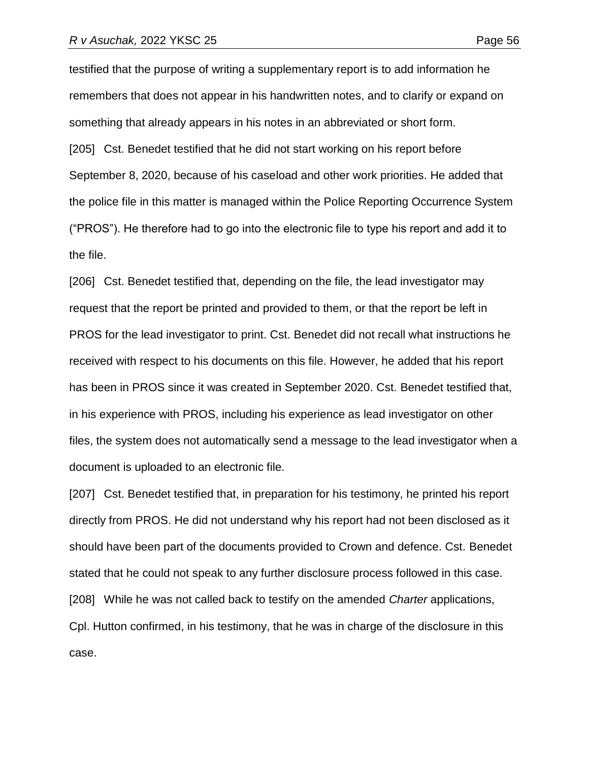testified that the purpose of writing a supplementary report is to add information he remembers that does not appear in his handwritten notes, and to clarify or expand on something that already appears in his notes in an abbreviated or short form. [205] Cst. Benedet testified that he did not start working on his report before September 8, 2020, because of his caseload and other work priorities. He added that the police file in this matter is managed within the Police Reporting Occurrence System ("PROS"). He therefore had to go into the electronic file to type his report and add it to

the file.

[206] Cst. Benedet testified that, depending on the file, the lead investigator may request that the report be printed and provided to them, or that the report be left in PROS for the lead investigator to print. Cst. Benedet did not recall what instructions he received with respect to his documents on this file. However, he added that his report has been in PROS since it was created in September 2020. Cst. Benedet testified that, in his experience with PROS, including his experience as lead investigator on other files, the system does not automatically send a message to the lead investigator when a document is uploaded to an electronic file.

[207] Cst. Benedet testified that, in preparation for his testimony, he printed his report directly from PROS. He did not understand why his report had not been disclosed as it should have been part of the documents provided to Crown and defence. Cst. Benedet stated that he could not speak to any further disclosure process followed in this case. [208] While he was not called back to testify on the amended *Charter* applications, Cpl. Hutton confirmed, in his testimony, that he was in charge of the disclosure in this case.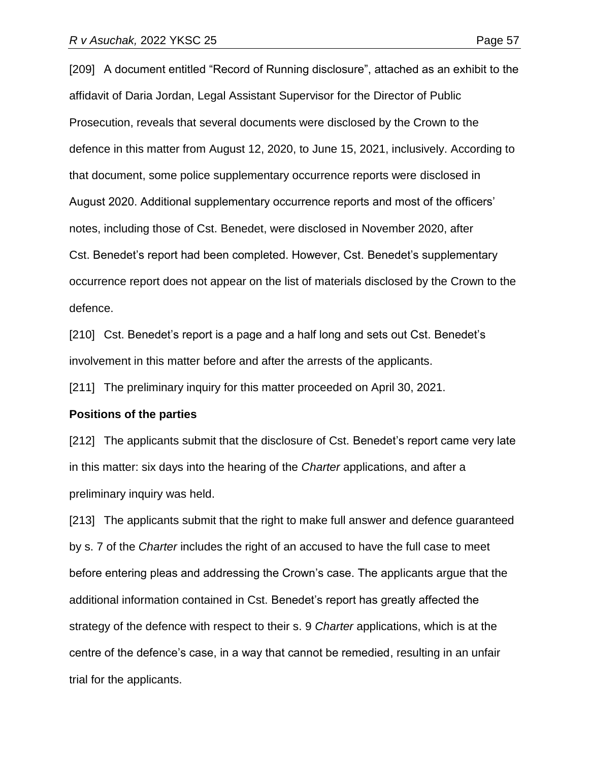[209] A document entitled "Record of Running disclosure", attached as an exhibit to the affidavit of Daria Jordan, Legal Assistant Supervisor for the Director of Public Prosecution, reveals that several documents were disclosed by the Crown to the defence in this matter from August 12, 2020, to June 15, 2021, inclusively. According to that document, some police supplementary occurrence reports were disclosed in August 2020. Additional supplementary occurrence reports and most of the officers' notes, including those of Cst. Benedet, were disclosed in November 2020, after Cst. Benedet's report had been completed. However, Cst. Benedet's supplementary occurrence report does not appear on the list of materials disclosed by the Crown to the defence.

[210] Cst. Benedet's report is a page and a half long and sets out Cst. Benedet's involvement in this matter before and after the arrests of the applicants.

[211] The preliminary inquiry for this matter proceeded on April 30, 2021.

#### **Positions of the parties**

[212] The applicants submit that the disclosure of Cst. Benedet's report came very late in this matter: six days into the hearing of the *Charter* applications, and after a preliminary inquiry was held.

[213] The applicants submit that the right to make full answer and defence guaranteed by s. 7 of the *Charter* includes the right of an accused to have the full case to meet before entering pleas and addressing the Crown's case. The applicants argue that the additional information contained in Cst. Benedet's report has greatly affected the strategy of the defence with respect to their s. 9 *Charter* applications, which is at the centre of the defence's case, in a way that cannot be remedied, resulting in an unfair trial for the applicants.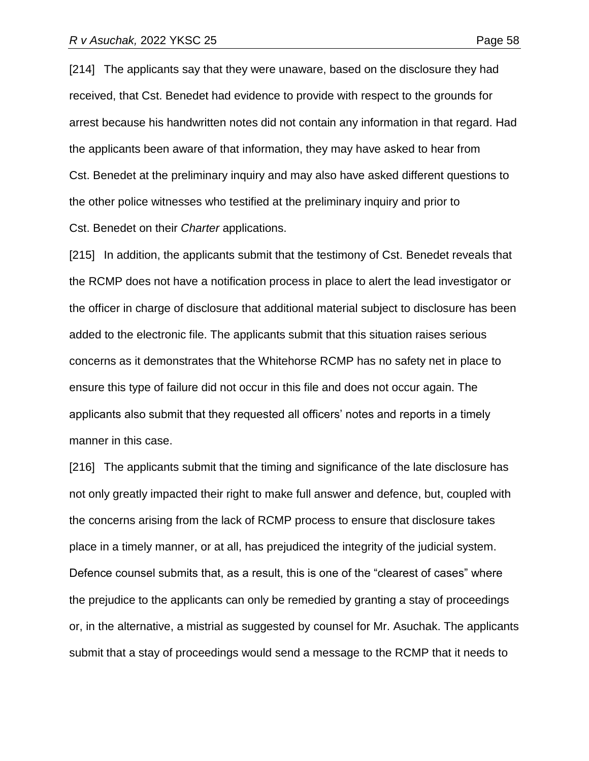[214] The applicants say that they were unaware, based on the disclosure they had received, that Cst. Benedet had evidence to provide with respect to the grounds for arrest because his handwritten notes did not contain any information in that regard. Had the applicants been aware of that information, they may have asked to hear from Cst. Benedet at the preliminary inquiry and may also have asked different questions to the other police witnesses who testified at the preliminary inquiry and prior to

Cst. Benedet on their *Charter* applications.

[215] In addition, the applicants submit that the testimony of Cst. Benedet reveals that the RCMP does not have a notification process in place to alert the lead investigator or the officer in charge of disclosure that additional material subject to disclosure has been added to the electronic file. The applicants submit that this situation raises serious concerns as it demonstrates that the Whitehorse RCMP has no safety net in place to ensure this type of failure did not occur in this file and does not occur again. The applicants also submit that they requested all officers' notes and reports in a timely manner in this case.

[216] The applicants submit that the timing and significance of the late disclosure has not only greatly impacted their right to make full answer and defence, but, coupled with the concerns arising from the lack of RCMP process to ensure that disclosure takes place in a timely manner, or at all, has prejudiced the integrity of the judicial system. Defence counsel submits that, as a result, this is one of the "clearest of cases" where the prejudice to the applicants can only be remedied by granting a stay of proceedings or, in the alternative, a mistrial as suggested by counsel for Mr. Asuchak. The applicants submit that a stay of proceedings would send a message to the RCMP that it needs to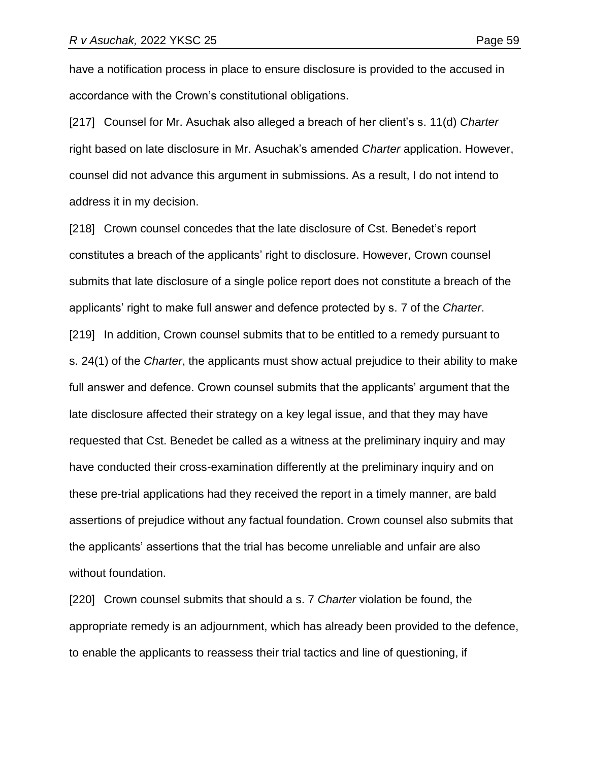have a notification process in place to ensure disclosure is provided to the accused in accordance with the Crown's constitutional obligations.

[217] Counsel for Mr. Asuchak also alleged a breach of her client's s. 11(d) *Charter* right based on late disclosure in Mr. Asuchak's amended *Charter* application. However, counsel did not advance this argument in submissions. As a result, I do not intend to address it in my decision.

[218] Crown counsel concedes that the late disclosure of Cst. Benedet's report constitutes a breach of the applicants' right to disclosure. However, Crown counsel submits that late disclosure of a single police report does not constitute a breach of the applicants' right to make full answer and defence protected by s. 7 of the *Charter*. [219] In addition, Crown counsel submits that to be entitled to a remedy pursuant to s. 24(1) of the *Charter*, the applicants must show actual prejudice to their ability to make full answer and defence. Crown counsel submits that the applicants' argument that the late disclosure affected their strategy on a key legal issue, and that they may have requested that Cst. Benedet be called as a witness at the preliminary inquiry and may have conducted their cross-examination differently at the preliminary inquiry and on these pre-trial applications had they received the report in a timely manner, are bald assertions of prejudice without any factual foundation. Crown counsel also submits that the applicants' assertions that the trial has become unreliable and unfair are also without foundation.

[220] Crown counsel submits that should a s. 7 *Charter* violation be found, the appropriate remedy is an adjournment, which has already been provided to the defence, to enable the applicants to reassess their trial tactics and line of questioning, if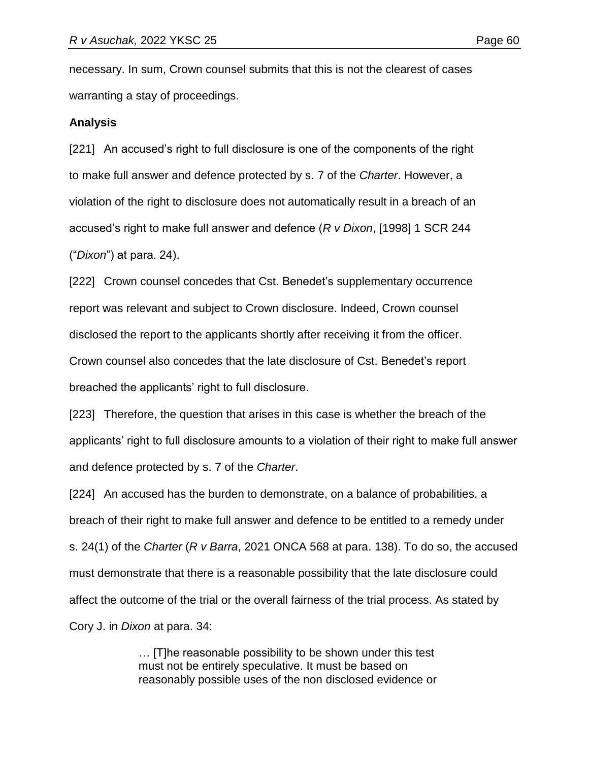necessary. In sum, Crown counsel submits that this is not the clearest of cases warranting a stay of proceedings.

#### **Analysis**

[221] An accused's right to full disclosure is one of the components of the right to make full answer and defence protected by s. 7 of the *Charter*. However, a violation of the right to disclosure does not automatically result in a breach of an accused's right to make full answer and defence (*R v Dixon*, [1998] 1 SCR 244 ("*Dixon*") at para. 24).

[222] Crown counsel concedes that Cst. Benedet's supplementary occurrence report was relevant and subject to Crown disclosure. Indeed, Crown counsel disclosed the report to the applicants shortly after receiving it from the officer. Crown counsel also concedes that the late disclosure of Cst. Benedet's report breached the applicants' right to full disclosure.

[223] Therefore, the question that arises in this case is whether the breach of the applicants' right to full disclosure amounts to a violation of their right to make full answer and defence protected by s. 7 of the *Charter*.

[224] An accused has the burden to demonstrate, on a balance of probabilities, a breach of their right to make full answer and defence to be entitled to a remedy under s. 24(1) of the *Charter* (*R v Barra*, 2021 ONCA 568 at para. 138). To do so, the accused must demonstrate that there is a reasonable possibility that the late disclosure could affect the outcome of the trial or the overall fairness of the trial process. As stated by Cory J. in *Dixon* at para. 34:

> … [T]he reasonable possibility to be shown under this test must not be entirely speculative. It must be based on reasonably possible uses of the non disclosed evidence or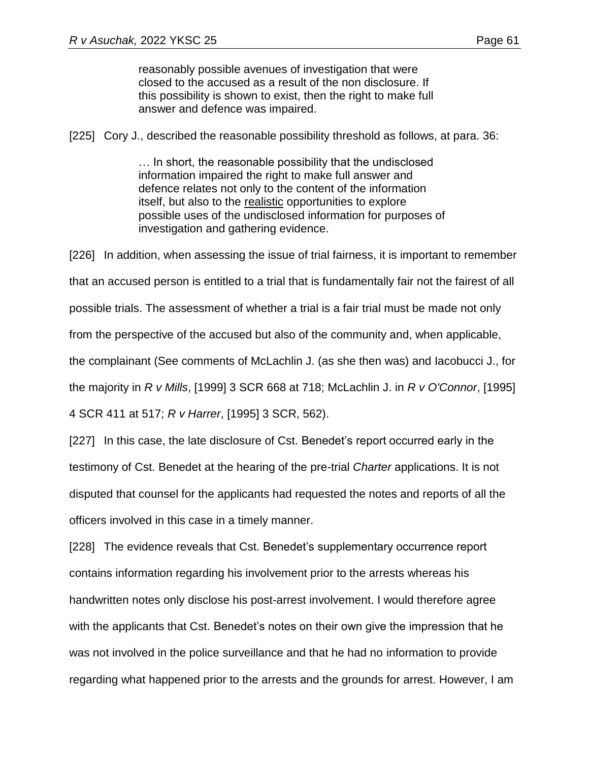reasonably possible avenues of investigation that were closed to the accused as a result of the non disclosure. If this possibility is shown to exist, then the right to make full answer and defence was impaired.

[225] Cory J., described the reasonable possibility threshold as follows, at para. 36:

… In short, the reasonable possibility that the undisclosed information impaired the right to make full answer and defence relates not only to the content of the information itself, but also to the realistic opportunities to explore possible uses of the undisclosed information for purposes of investigation and gathering evidence.

[226] In addition, when assessing the issue of trial fairness, it is important to remember that an accused person is entitled to a trial that is fundamentally fair not the fairest of all possible trials. The assessment of whether a trial is a fair trial must be made not only from the perspective of the accused but also of the community and, when applicable, the complainant (See comments of McLachlin J. (as she then was) and Iacobucci J., for the majority in *R v Mills*, [1999] 3 SCR 668 at 718; McLachlin J. in *R v O'Connor*, [1995] 4 SCR 411 at 517; *R v Harrer*, [1995] 3 SCR, 562).

[227] In this case, the late disclosure of Cst. Benedet's report occurred early in the testimony of Cst. Benedet at the hearing of the pre-trial *Charter* applications. It is not disputed that counsel for the applicants had requested the notes and reports of all the officers involved in this case in a timely manner.

[228] The evidence reveals that Cst. Benedet's supplementary occurrence report contains information regarding his involvement prior to the arrests whereas his handwritten notes only disclose his post-arrest involvement. I would therefore agree with the applicants that Cst. Benedet's notes on their own give the impression that he was not involved in the police surveillance and that he had no information to provide regarding what happened prior to the arrests and the grounds for arrest. However, I am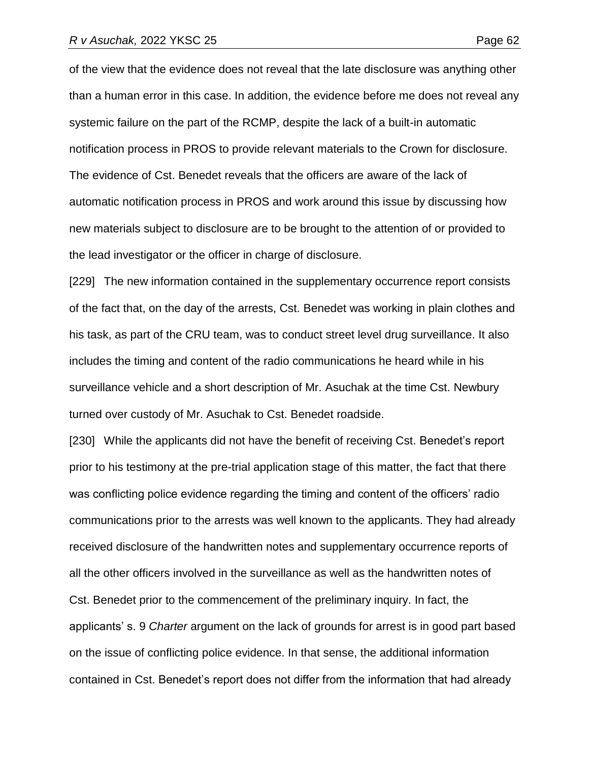of the view that the evidence does not reveal that the late disclosure was anything other than a human error in this case. In addition, the evidence before me does not reveal any systemic failure on the part of the RCMP, despite the lack of a built-in automatic notification process in PROS to provide relevant materials to the Crown for disclosure. The evidence of Cst. Benedet reveals that the officers are aware of the lack of automatic notification process in PROS and work around this issue by discussing how new materials subject to disclosure are to be brought to the attention of or provided to the lead investigator or the officer in charge of disclosure.

[229] The new information contained in the supplementary occurrence report consists of the fact that, on the day of the arrests, Cst. Benedet was working in plain clothes and his task, as part of the CRU team, was to conduct street level drug surveillance. It also includes the timing and content of the radio communications he heard while in his surveillance vehicle and a short description of Mr. Asuchak at the time Cst. Newbury turned over custody of Mr. Asuchak to Cst. Benedet roadside.

[230] While the applicants did not have the benefit of receiving Cst. Benedet's report prior to his testimony at the pre-trial application stage of this matter, the fact that there was conflicting police evidence regarding the timing and content of the officers' radio communications prior to the arrests was well known to the applicants. They had already received disclosure of the handwritten notes and supplementary occurrence reports of all the other officers involved in the surveillance as well as the handwritten notes of Cst. Benedet prior to the commencement of the preliminary inquiry. In fact, the applicants' s. 9 *Charter* argument on the lack of grounds for arrest is in good part based on the issue of conflicting police evidence. In that sense, the additional information contained in Cst. Benedet's report does not differ from the information that had already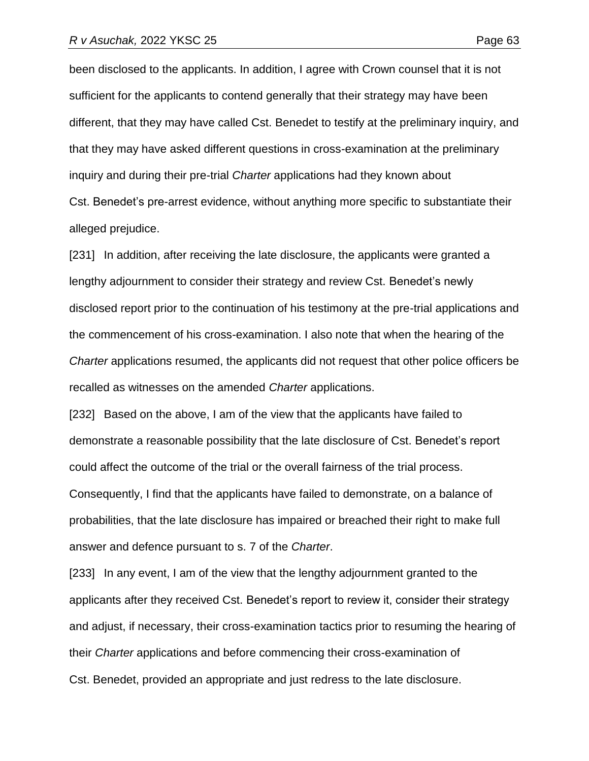been disclosed to the applicants. In addition, I agree with Crown counsel that it is not sufficient for the applicants to contend generally that their strategy may have been different, that they may have called Cst. Benedet to testify at the preliminary inquiry, and that they may have asked different questions in cross-examination at the preliminary inquiry and during their pre-trial *Charter* applications had they known about Cst. Benedet's pre-arrest evidence, without anything more specific to substantiate their alleged prejudice.

[231] In addition, after receiving the late disclosure, the applicants were granted a lengthy adjournment to consider their strategy and review Cst. Benedet's newly disclosed report prior to the continuation of his testimony at the pre-trial applications and the commencement of his cross-examination. I also note that when the hearing of the *Charter* applications resumed, the applicants did not request that other police officers be recalled as witnesses on the amended *Charter* applications.

[232] Based on the above, I am of the view that the applicants have failed to demonstrate a reasonable possibility that the late disclosure of Cst. Benedet's report could affect the outcome of the trial or the overall fairness of the trial process. Consequently, I find that the applicants have failed to demonstrate, on a balance of probabilities, that the late disclosure has impaired or breached their right to make full answer and defence pursuant to s. 7 of the *Charter*.

[233] In any event, I am of the view that the lengthy adjournment granted to the applicants after they received Cst. Benedet's report to review it, consider their strategy and adjust, if necessary, their cross-examination tactics prior to resuming the hearing of their *Charter* applications and before commencing their cross-examination of Cst. Benedet, provided an appropriate and just redress to the late disclosure.